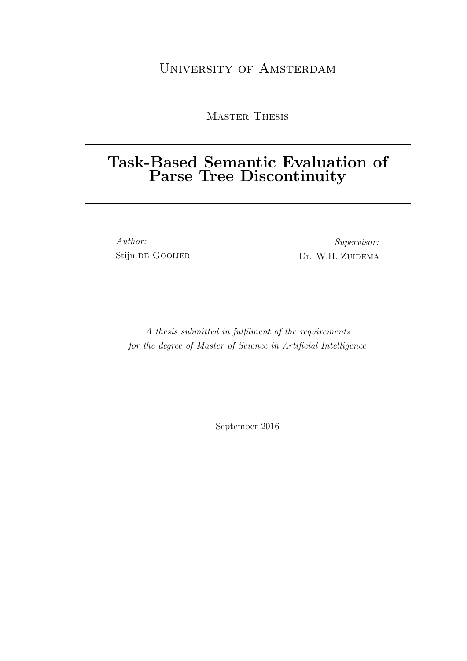### [University of Amsterdam](http://www.uva.nl/en/home)

Master Thesis

## Task-Based Semantic Evaluation of Parse Tree Discontinuity

Author: Stijn de Gooijer

Supervisor: [Dr. W.H.](http://wzuidema.humanities.uva.nl/) ZUIDEMA

A thesis submitted in fulfilment of the requirements for the degree of Master of Science in Artificial Intelligence

September 2016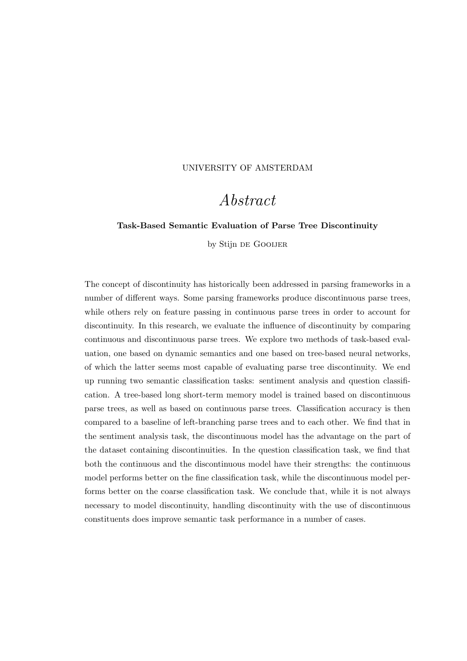#### <span id="page-1-0"></span>[UNIVERSITY OF AMSTERDAM](http://www.uva.nl/en/home)

### Abstract

#### Task-Based Semantic Evaluation of Parse Tree Discontinuity

by Stijn DE GOOIJER

The concept of discontinuity has historically been addressed in parsing frameworks in a number of different ways. Some parsing frameworks produce discontinuous parse trees, while others rely on feature passing in continuous parse trees in order to account for discontinuity. In this research, we evaluate the influence of discontinuity by comparing continuous and discontinuous parse trees. We explore two methods of task-based evaluation, one based on dynamic semantics and one based on tree-based neural networks, of which the latter seems most capable of evaluating parse tree discontinuity. We end up running two semantic classification tasks: sentiment analysis and question classification. A tree-based long short-term memory model is trained based on discontinuous parse trees, as well as based on continuous parse trees. Classification accuracy is then compared to a baseline of left-branching parse trees and to each other. We find that in the sentiment analysis task, the discontinuous model has the advantage on the part of the dataset containing discontinuities. In the question classification task, we find that both the continuous and the discontinuous model have their strengths: the continuous model performs better on the fine classification task, while the discontinuous model performs better on the coarse classification task. We conclude that, while it is not always necessary to model discontinuity, handling discontinuity with the use of discontinuous constituents does improve semantic task performance in a number of cases.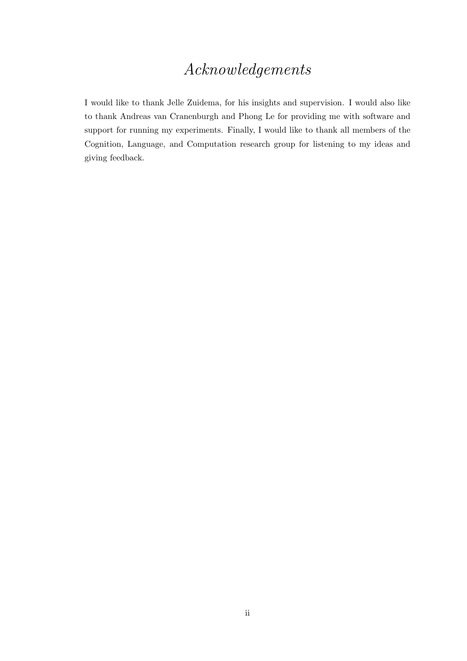## Acknowledgements

<span id="page-2-0"></span>I would like to thank Jelle Zuidema, for his insights and supervision. I would also like to thank Andreas van Cranenburgh and Phong Le for providing me with software and support for running my experiments. Finally, I would like to thank all members of the Cognition, Language, and Computation research group for listening to my ideas and giving feedback.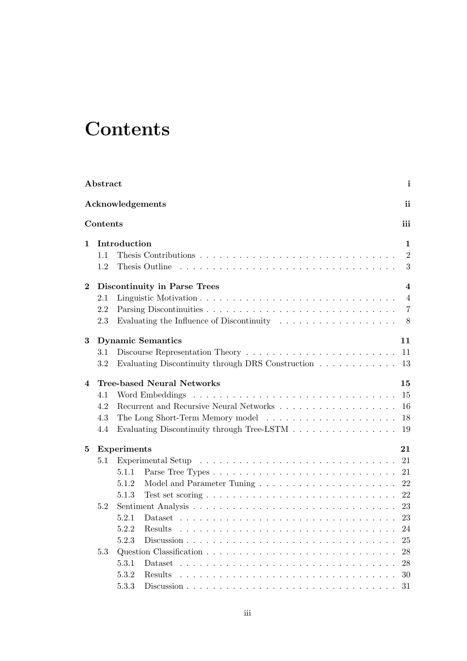# <span id="page-3-0"></span>**Contents**

|              | Abstract |                    |                                                                                                                                                                                                                               | $\mathbf{i}$   |
|--------------|----------|--------------------|-------------------------------------------------------------------------------------------------------------------------------------------------------------------------------------------------------------------------------|----------------|
|              |          |                    | Acknowledgements                                                                                                                                                                                                              | ii             |
|              | Contents |                    |                                                                                                                                                                                                                               | iii            |
| $\mathbf{1}$ |          | Introduction       |                                                                                                                                                                                                                               | $\mathbf{1}$   |
|              | 1.1      |                    |                                                                                                                                                                                                                               | $\overline{2}$ |
|              | 1.2      |                    | Thesis Outline entries in the contract of the contract of the contract of the contract of the contract of the contract of the contract of the contract of the contract of the contract of the contract of the contract of the | 3              |
| $\bf{2}$     |          |                    | <b>Discontinuity in Parse Trees</b>                                                                                                                                                                                           | $\overline{4}$ |
|              | 2.1      |                    |                                                                                                                                                                                                                               | $\overline{4}$ |
|              | 2.2      |                    |                                                                                                                                                                                                                               | $\overline{7}$ |
|              | 2.3      |                    | Evaluating the Influence of Discontinuity $\ldots \ldots \ldots \ldots \ldots$ 8                                                                                                                                              |                |
| $\bf{3}$     |          |                    | <b>Dynamic Semantics</b>                                                                                                                                                                                                      | 11             |
|              | 3.1      |                    |                                                                                                                                                                                                                               |                |
|              | 3.2      |                    | Evaluating Discontinuity through DRS Construction                                                                                                                                                                             | -13            |
| 4            |          |                    | <b>Tree-based Neural Networks</b>                                                                                                                                                                                             | 15             |
|              | 4.1      |                    |                                                                                                                                                                                                                               | 15             |
|              | 4.2      |                    |                                                                                                                                                                                                                               | 16             |
|              | 4.3      |                    |                                                                                                                                                                                                                               |                |
|              | 4.4      |                    | Evaluating Discontinuity through Tree-LSTM 19                                                                                                                                                                                 |                |
| $\bf{5}$     |          | <b>Experiments</b> |                                                                                                                                                                                                                               | 21             |
|              | 5.1      |                    |                                                                                                                                                                                                                               | 21             |
|              |          | 5.1.1              |                                                                                                                                                                                                                               |                |
|              |          | 5.1.2              |                                                                                                                                                                                                                               |                |
|              |          | 5.1.3              |                                                                                                                                                                                                                               | 22             |
|              | 5.2      |                    |                                                                                                                                                                                                                               | 23             |
|              |          | 5.2.1              |                                                                                                                                                                                                                               |                |
|              |          | 5.2.2              |                                                                                                                                                                                                                               | 24             |
|              |          | 5.2.3              |                                                                                                                                                                                                                               | 25             |
|              | 5.3      |                    |                                                                                                                                                                                                                               | 28             |
|              |          | 5.3.1              |                                                                                                                                                                                                                               | 28             |
|              |          | 5.3.2              | Results                                                                                                                                                                                                                       | 30             |
|              |          | 5.3.3              |                                                                                                                                                                                                                               | 31             |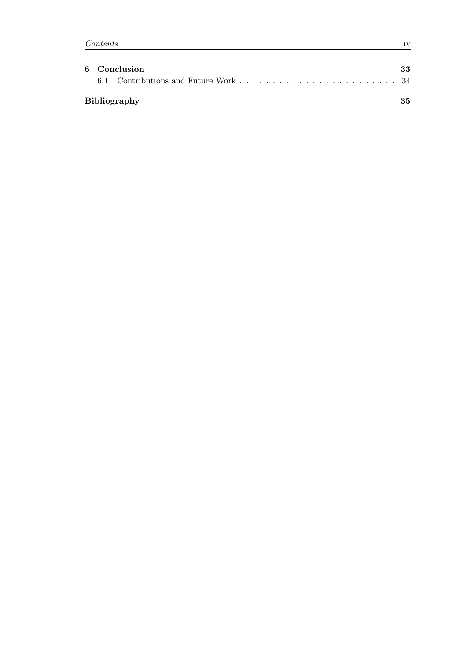| 6 Conclusion        |    |  |
|---------------------|----|--|
|                     |    |  |
| <b>Bibliography</b> | 35 |  |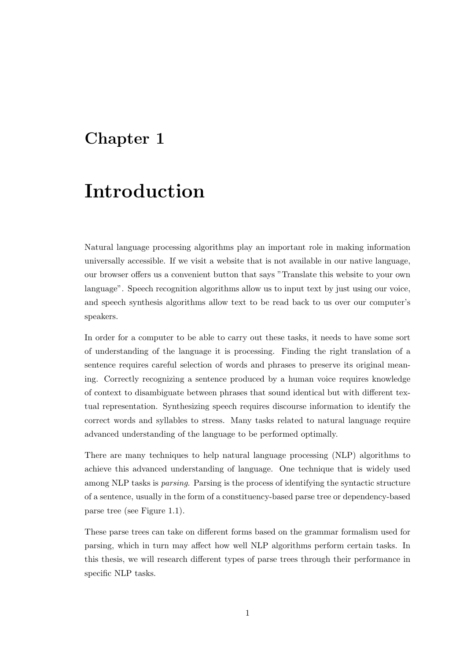## <span id="page-5-0"></span>Chapter 1

# Introduction

Natural language processing algorithms play an important role in making information universally accessible. If we visit a website that is not available in our native language, our browser offers us a convenient button that says "Translate this website to your own language". Speech recognition algorithms allow us to input text by just using our voice, and speech synthesis algorithms allow text to be read back to us over our computer's speakers.

In order for a computer to be able to carry out these tasks, it needs to have some sort of understanding of the language it is processing. Finding the right translation of a sentence requires careful selection of words and phrases to preserve its original meaning. Correctly recognizing a sentence produced by a human voice requires knowledge of context to disambiguate between phrases that sound identical but with different textual representation. Synthesizing speech requires discourse information to identify the correct words and syllables to stress. Many tasks related to natural language require advanced understanding of the language to be performed optimally.

There are many techniques to help natural language processing (NLP) algorithms to achieve this advanced understanding of language. One technique that is widely used among NLP tasks is parsing. Parsing is the process of identifying the syntactic structure of a sentence, usually in the form of a constituency-based parse tree or dependency-based parse tree (see Figure [1.1\)](#page-6-1).

These parse trees can take on different forms based on the grammar formalism used for parsing, which in turn may affect how well NLP algorithms perform certain tasks. In this thesis, we will research different types of parse trees through their performance in specific NLP tasks.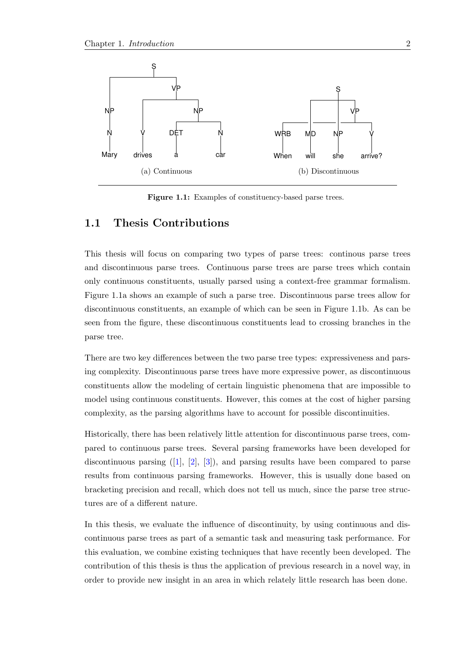<span id="page-6-1"></span>

Figure 1.1: Examples of constituency-based parse trees.

#### <span id="page-6-0"></span>1.1 Thesis Contributions

This thesis will focus on comparing two types of parse trees: continous parse trees and discontinuous parse trees. Continuous parse trees are parse trees which contain only continuous constituents, usually parsed using a context-free grammar formalism. Figure [1.1a](#page-6-1) shows an example of such a parse tree. Discontinuous parse trees allow for discontinuous constituents, an example of which can be seen in Figure [1.1b.](#page-6-1) As can be seen from the figure, these discontinuous constituents lead to crossing branches in the parse tree.

There are two key differences between the two parse tree types: expressiveness and parsing complexity. Discontinuous parse trees have more expressive power, as discontinuous constituents allow the modeling of certain linguistic phenomena that are impossible to model using continuous constituents. However, this comes at the cost of higher parsing complexity, as the parsing algorithms have to account for possible discontinuities.

Historically, there has been relatively little attention for discontinuous parse trees, compared to continuous parse trees. Several parsing frameworks have been developed for discontinuous parsing  $([1], [2], [3])$  $([1], [2], [3])$  $([1], [2], [3])$  $([1], [2], [3])$  $([1], [2], [3])$  $([1], [2], [3])$  $([1], [2], [3])$ , and parsing results have been compared to parse results from continuous parsing frameworks. However, this is usually done based on bracketing precision and recall, which does not tell us much, since the parse tree structures are of a different nature.

In this thesis, we evaluate the influence of discontinuity, by using continuous and discontinuous parse trees as part of a semantic task and measuring task performance. For this evaluation, we combine existing techniques that have recently been developed. The contribution of this thesis is thus the application of previous research in a novel way, in order to provide new insight in an area in which relately little research has been done.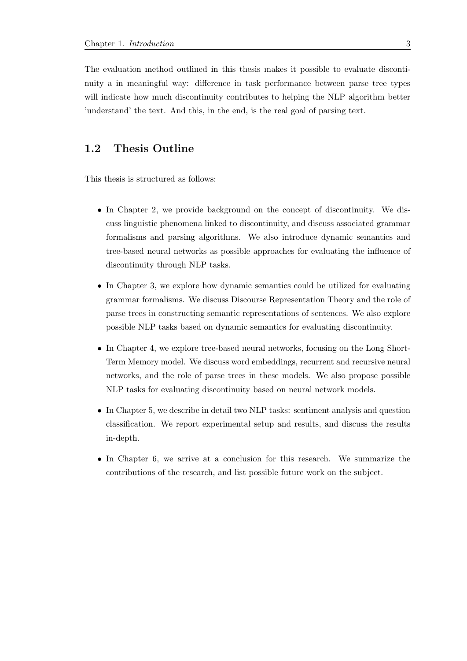The evaluation method outlined in this thesis makes it possible to evaluate discontinuity a in meaningful way: difference in task performance between parse tree types will indicate how much discontinuity contributes to helping the NLP algorithm better 'understand' the text. And this, in the end, is the real goal of parsing text.

#### <span id="page-7-0"></span>1.2 Thesis Outline

This thesis is structured as follows:

- In Chapter [2,](#page-8-0) we provide background on the concept of discontinuity. We discuss linguistic phenomena linked to discontinuity, and discuss associated grammar formalisms and parsing algorithms. We also introduce dynamic semantics and tree-based neural networks as possible approaches for evaluating the influence of discontinuity through NLP tasks.
- In Chapter [3,](#page-15-0) we explore how dynamic semantics could be utilized for evaluating grammar formalisms. We discuss Discourse Representation Theory and the role of parse trees in constructing semantic representations of sentences. We also explore possible NLP tasks based on dynamic semantics for evaluating discontinuity.
- In Chapter [4,](#page-19-0) we explore tree-based neural networks, focusing on the Long Short-Term Memory model. We discuss word embeddings, recurrent and recursive neural networks, and the role of parse trees in these models. We also propose possible NLP tasks for evaluating discontinuity based on neural network models.
- In Chapter [5,](#page-25-0) we describe in detail two NLP tasks: sentiment analysis and question classification. We report experimental setup and results, and discuss the results in-depth.
- In Chapter [6,](#page-37-0) we arrive at a conclusion for this research. We summarize the contributions of the research, and list possible future work on the subject.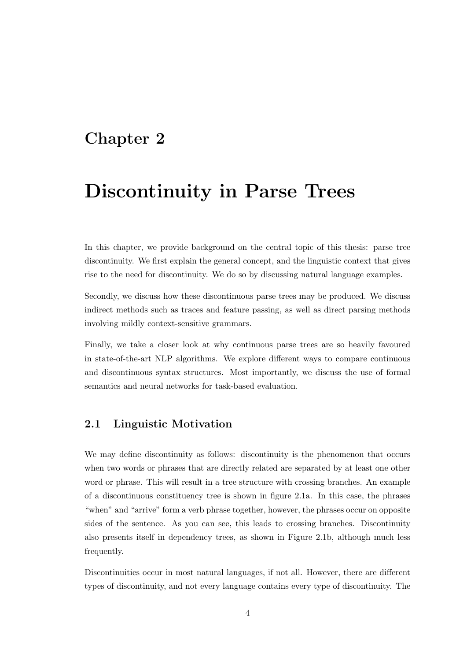### <span id="page-8-0"></span>Chapter 2

## Discontinuity in Parse Trees

In this chapter, we provide background on the central topic of this thesis: parse tree discontinuity. We first explain the general concept, and the linguistic context that gives rise to the need for discontinuity. We do so by discussing natural language examples.

Secondly, we discuss how these discontinuous parse trees may be produced. We discuss indirect methods such as traces and feature passing, as well as direct parsing methods involving mildly context-sensitive grammars.

Finally, we take a closer look at why continuous parse trees are so heavily favoured in state-of-the-art NLP algorithms. We explore different ways to compare continuous and discontinuous syntax structures. Most importantly, we discuss the use of formal semantics and neural networks for task-based evaluation.

#### <span id="page-8-1"></span>2.1 Linguistic Motivation

We may define discontinuity as follows: discontinuity is the phenomenon that occurs when two words or phrases that are directly related are separated by at least one other word or phrase. This will result in a tree structure with crossing branches. An example of a discontinuous constituency tree is shown in figure [2.1a.](#page-9-0) In this case, the phrases "when" and "arrive" form a verb phrase together, however, the phrases occur on opposite sides of the sentence. As you can see, this leads to crossing branches. Discontinuity also presents itself in dependency trees, as shown in Figure [2.1b,](#page-9-0) although much less frequently.

Discontinuities occur in most natural languages, if not all. However, there are different types of discontinuity, and not every language contains every type of discontinuity. The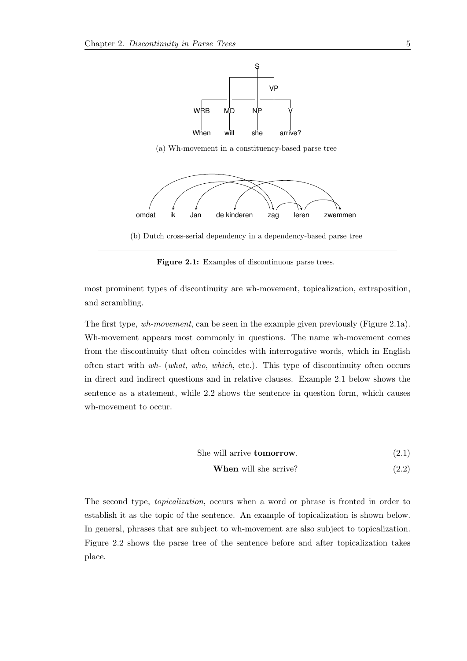<span id="page-9-0"></span>

(a) Wh-movement in a constituency-based parse tree



(b) Dutch cross-serial dependency in a dependency-based parse tree

Figure 2.1: Examples of discontinuous parse trees.

most prominent types of discontinuity are wh-movement, topicalization, extraposition, and scrambling.

The first type, wh-movement, can be seen in the example given previously (Figure [2.1a\)](#page-9-0). Wh-movement appears most commonly in questions. The name wh-movement comes from the discontinuity that often coincides with interrogative words, which in English often start with wh- (what, who, which, etc.). This type of discontinuity often occurs in direct and indirect questions and in relative clauses. Example [2.1](#page-9-1) below shows the sentence as a statement, while [2.2](#page-9-2) shows the sentence in question form, which causes wh-movement to occur.

She will arrive **tomorrow**.  $(2.1)$ 

<span id="page-9-2"></span><span id="page-9-1"></span>**When** will she arrive? 
$$
(2.2)
$$

The second type, topicalization, occurs when a word or phrase is fronted in order to establish it as the topic of the sentence. An example of topicalization is shown below. In general, phrases that are subject to wh-movement are also subject to topicalization. Figure [2.2](#page-10-0) shows the parse tree of the sentence before and after topicalization takes place.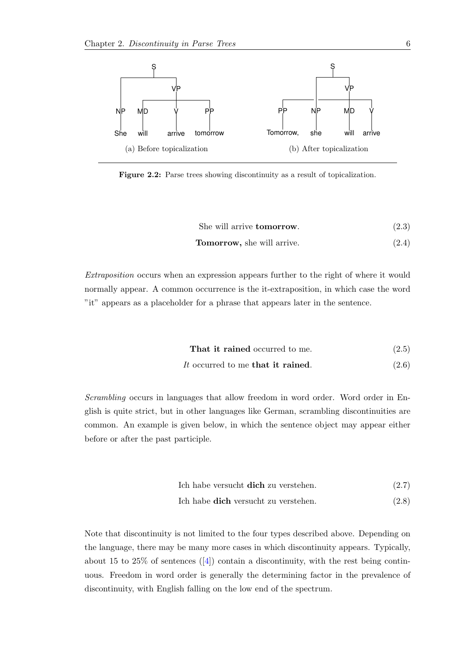<span id="page-10-0"></span>

Figure 2.2: Parse trees showing discontinuity as a result of topicalization.

She will arrive **tomorrow**. (2.3)

**Tomorrow,** she will arrive. 
$$
(2.4)
$$

Extraposition occurs when an expression appears further to the right of where it would normally appear. A common occurrence is the it-extraposition, in which case the word "it" appears as a placeholder for a phrase that appears later in the sentence.

$$
That it rained occurred to me.
$$
\n
$$
(2.5)
$$

#### It occurred to me that it rained.  $(2.6)$

Scrambling occurs in languages that allow freedom in word order. Word order in English is quite strict, but in other languages like German, scrambling discontinuities are common. An example is given below, in which the sentence object may appear either before or after the past participle.

$$
Ich \; habe \; versucht \; dich \; zu \; verstehen. \tag{2.7}
$$

$$
Ich \; habe \; dich \; versuscht zu \; verstehen. \tag{2.8}
$$

Note that discontinuity is not limited to the four types described above. Depending on the language, there may be many more cases in which discontinuity appears. Typically, about 15 to  $25\%$  of sentences ([\[4\]](#page-39-4)) contain a discontinuity, with the rest being continuous. Freedom in word order is generally the determining factor in the prevalence of discontinuity, with English falling on the low end of the spectrum.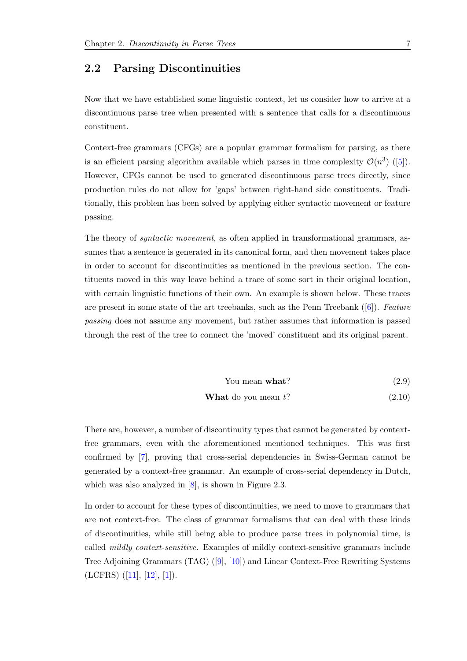#### <span id="page-11-0"></span>2.2 Parsing Discontinuities

Now that we have established some linguistic context, let us consider how to arrive at a discontinuous parse tree when presented with a sentence that calls for a discontinuous constituent.

Context-free grammars (CFGs) are a popular grammar formalism for parsing, as there is an efficient parsing algorithm available which parses in time complexity  $\mathcal{O}(n^3)$  ([\[5\]](#page-39-5)). However, CFGs cannot be used to generated discontinuous parse trees directly, since production rules do not allow for 'gaps' between right-hand side constituents. Traditionally, this problem has been solved by applying either syntactic movement or feature passing.

The theory of syntactic movement, as often applied in transformational grammars, assumes that a sentence is generated in its canonical form, and then movement takes place in order to account for discontinuities as mentioned in the previous section. The contituents moved in this way leave behind a trace of some sort in their original location, with certain linguistic functions of their own. An example is shown below. These traces are present in some state of the art treebanks, such as the Penn Treebank  $([6])$  $([6])$  $([6])$ . Feature passing does not assume any movement, but rather assumes that information is passed through the rest of the tree to connect the 'moved' constituent and its original parent.

You mean **what**? 
$$
(2.9)
$$

**What do you mean** 
$$
t
$$
? (2.10)

There are, however, a number of discontinuity types that cannot be generated by contextfree grammars, even with the aforementioned mentioned techniques. This was first confirmed by [\[7\]](#page-39-7), proving that cross-serial dependencies in Swiss-German cannot be generated by a context-free grammar. An example of cross-serial dependency in Dutch, which was also analyzed in  $[8]$ , is shown in Figure [2.3.](#page-12-1)

In order to account for these types of discontinuities, we need to move to grammars that are not context-free. The class of grammar formalisms that can deal with these kinds of discontinuities, while still being able to produce parse trees in polynomial time, is called mildly context-sensitive. Examples of mildly context-sensitive grammars include Tree Adjoining Grammars (TAG) ([\[9\]](#page-39-9), [\[10\]](#page-39-10)) and Linear Context-Free Rewriting Systems  $(LCFRS)$   $([11], [12], [1]).$  $([11], [12], [1]).$  $([11], [12], [1]).$  $([11], [12], [1]).$  $([11], [12], [1]).$  $([11], [12], [1]).$  $([11], [12], [1]).$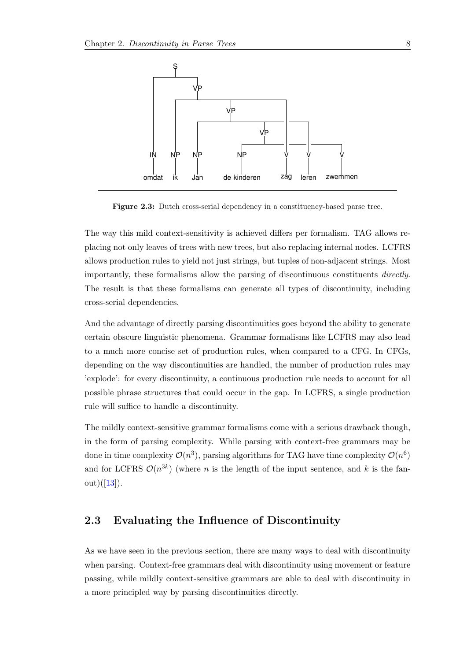<span id="page-12-1"></span>

Figure 2.3: Dutch cross-serial dependency in a constituency-based parse tree.

The way this mild context-sensitivity is achieved differs per formalism. TAG allows replacing not only leaves of trees with new trees, but also replacing internal nodes. LCFRS allows production rules to yield not just strings, but tuples of non-adjacent strings. Most importantly, these formalisms allow the parsing of discontinuous constituents directly. The result is that these formalisms can generate all types of discontinuity, including cross-serial dependencies.

And the advantage of directly parsing discontinuities goes beyond the ability to generate certain obscure linguistic phenomena. Grammar formalisms like LCFRS may also lead to a much more concise set of production rules, when compared to a CFG. In CFGs, depending on the way discontinuities are handled, the number of production rules may 'explode': for every discontinuity, a continuous production rule needs to account for all possible phrase structures that could occur in the gap. In LCFRS, a single production rule will suffice to handle a discontinuity.

The mildly context-sensitive grammar formalisms come with a serious drawback though, in the form of parsing complexity. While parsing with context-free grammars may be done in time complexity  $\mathcal{O}(n^3)$ , parsing algorithms for TAG have time complexity  $\mathcal{O}(n^6)$ and for LCFRS  $\mathcal{O}(n^{3k})$  (where n is the length of the input sentence, and k is the fan- $out)([13]).$  $out)([13]).$  $out)([13]).$ 

#### <span id="page-12-0"></span>2.3 Evaluating the Influence of Discontinuity

As we have seen in the previous section, there are many ways to deal with discontinuity when parsing. Context-free grammars deal with discontinuity using movement or feature passing, while mildly context-sensitive grammars are able to deal with discontinuity in a more principled way by parsing discontinuities directly.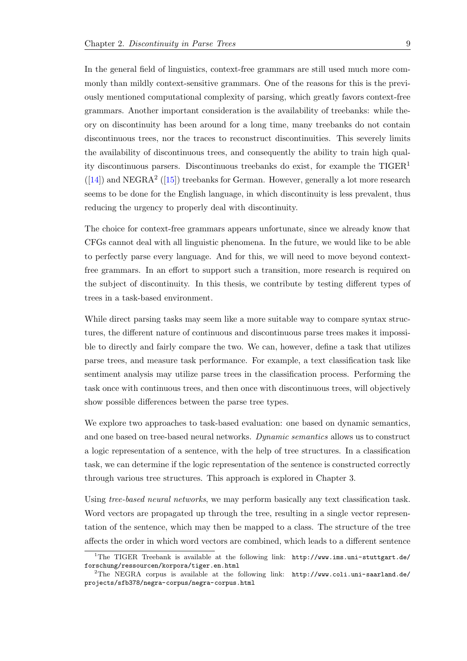In the general field of linguistics, context-free grammars are still used much more commonly than mildly context-sensitive grammars. One of the reasons for this is the previously mentioned computational complexity of parsing, which greatly favors context-free grammars. Another important consideration is the availability of treebanks: while theory on discontinuity has been around for a long time, many treebanks do not contain discontinuous trees, nor the traces to reconstruct discontinuities. This severely limits the availability of discontinuous trees, and consequently the ability to train high quality discontinuous parsers. Discontinuous treebanks do exist, for example the  $TIGER<sup>1</sup>$  $TIGER<sup>1</sup>$  $TIGER<sup>1</sup>$  $([14])$  $([14])$  $([14])$  and NEGRA<sup>[2](#page-13-1)</sup>  $([15])$  $([15])$  $([15])$  treebanks for German. However, generally a lot more research seems to be done for the English language, in which discontinuity is less prevalent, thus reducing the urgency to properly deal with discontinuity.

The choice for context-free grammars appears unfortunate, since we already know that CFGs cannot deal with all linguistic phenomena. In the future, we would like to be able to perfectly parse every language. And for this, we will need to move beyond contextfree grammars. In an effort to support such a transition, more research is required on the subject of discontinuity. In this thesis, we contribute by testing different types of trees in a task-based environment.

While direct parsing tasks may seem like a more suitable way to compare syntax structures, the different nature of continuous and discontinuous parse trees makes it impossible to directly and fairly compare the two. We can, however, define a task that utilizes parse trees, and measure task performance. For example, a text classification task like sentiment analysis may utilize parse trees in the classification process. Performing the task once with continuous trees, and then once with discontinuous trees, will objectively show possible differences between the parse tree types.

We explore two approaches to task-based evaluation: one based on dynamic semantics, and one based on tree-based neural networks. Dynamic semantics allows us to construct a logic representation of a sentence, with the help of tree structures. In a classification task, we can determine if the logic representation of the sentence is constructed correctly through various tree structures. This approach is explored in Chapter [3.](#page-15-0)

Using tree-based neural networks, we may perform basically any text classification task. Word vectors are propagated up through the tree, resulting in a single vector representation of the sentence, which may then be mapped to a class. The structure of the tree affects the order in which word vectors are combined, which leads to a different sentence

<span id="page-13-0"></span><sup>&</sup>lt;sup>1</sup>The TIGER Treebank is available at the following link: [http://www.ims.uni-stuttgart.de/](http://www.ims.uni-stuttgart.de/forschung/ressourcen/korpora/tiger.en.html) [forschung/ressourcen/korpora/tiger.en.html](http://www.ims.uni-stuttgart.de/forschung/ressourcen/korpora/tiger.en.html)

<span id="page-13-1"></span> ${}^{2}$ The NEGRA corpus is available at the following link: [http://www.coli.uni-saarland.de/](http://www.coli.uni-saarland.de/projects/sfb378/negra-corpus/negra-corpus.html) [projects/sfb378/negra-corpus/negra-corpus.html](http://www.coli.uni-saarland.de/projects/sfb378/negra-corpus/negra-corpus.html)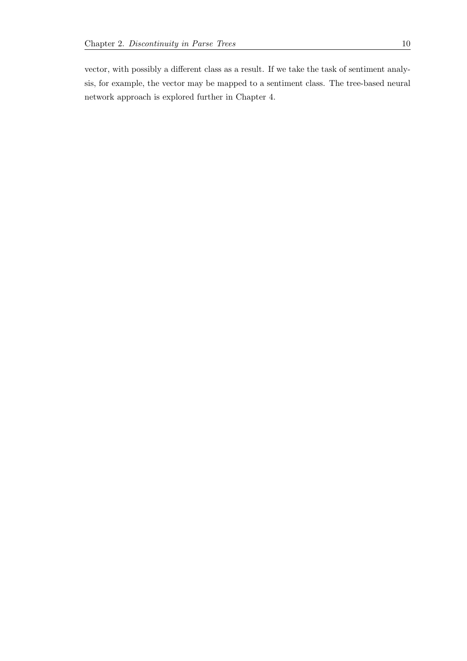vector, with possibly a different class as a result. If we take the task of sentiment analysis, for example, the vector may be mapped to a sentiment class. The tree-based neural network approach is explored further in Chapter [4.](#page-19-0)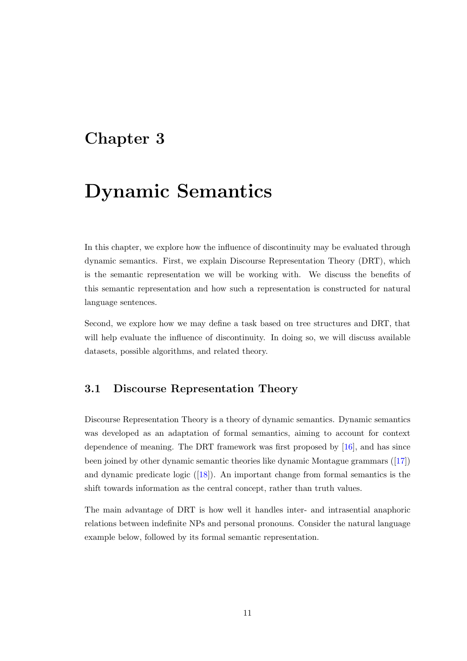## <span id="page-15-0"></span>Chapter 3

## Dynamic Semantics

In this chapter, we explore how the influence of discontinuity may be evaluated through dynamic semantics. First, we explain Discourse Representation Theory (DRT), which is the semantic representation we will be working with. We discuss the benefits of this semantic representation and how such a representation is constructed for natural language sentences.

Second, we explore how we may define a task based on tree structures and DRT, that will help evaluate the influence of discontinuity. In doing so, we will discuss available datasets, possible algorithms, and related theory.

#### <span id="page-15-1"></span>3.1 Discourse Representation Theory

Discourse Representation Theory is a theory of dynamic semantics. Dynamic semantics was developed as an adaptation of formal semantics, aiming to account for context dependence of meaning. The DRT framework was first proposed by [\[16\]](#page-40-4), and has since been joined by other dynamic semantic theories like dynamic Montague grammars ([\[17\]](#page-40-5)) and dynamic predicate logic ([\[18\]](#page-40-6)). An important change from formal semantics is the shift towards information as the central concept, rather than truth values.

The main advantage of DRT is how well it handles inter- and intrasential anaphoric relations between indefinite NPs and personal pronouns. Consider the natural language example below, followed by its formal semantic representation.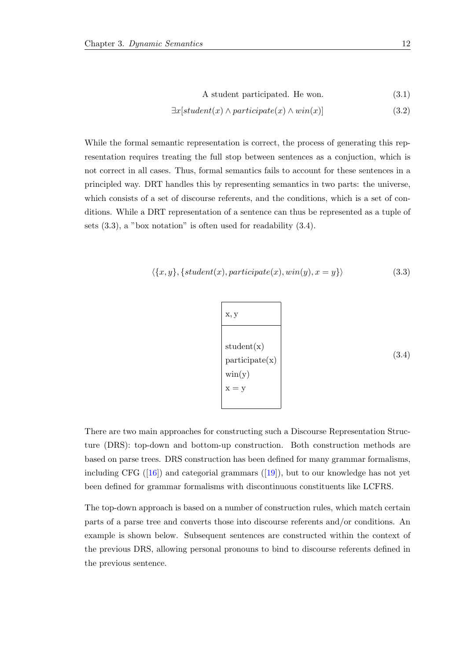$$
A student participated. He won. \t(3.1)
$$

$$
\exists x[student(x) \land participate(x) \land win(x)] \tag{3.2}
$$

While the formal semantic representation is correct, the process of generating this representation requires treating the full stop between sentences as a conjuction, which is not correct in all cases. Thus, formal semantics fails to account for these sentences in a principled way. DRT handles this by representing semantics in two parts: the universe, which consists of a set of discourse referents, and the conditions, which is a set of conditions. While a DRT representation of a sentence can thus be represented as a tuple of sets [\(3.3\)](#page-16-0), a "box notation" is often used for readability [\(3.4\)](#page-16-1).

$$
\langle \{x, y\}, \{student(x), participate(x),win(y), x = y\} \rangle
$$
\n(3.3)

<span id="page-16-1"></span><span id="page-16-0"></span>
$$
x, y
$$
  
student(x)  
participate(x)  
win(y)  

$$
x = y
$$
 (3.4)

There are two main approaches for constructing such a Discourse Representation Structure (DRS): top-down and bottom-up construction. Both construction methods are based on parse trees. DRS construction has been defined for many grammar formalisms, including CFG  $([16])$  $([16])$  $([16])$  and categorial grammars  $([19])$  $([19])$  $([19])$ , but to our knowledge has not yet been defined for grammar formalisms with discontinuous constituents like LCFRS.

The top-down approach is based on a number of construction rules, which match certain parts of a parse tree and converts those into discourse referents and/or conditions. An example is shown below. Subsequent sentences are constructed within the context of the previous DRS, allowing personal pronouns to bind to discourse referents defined in the previous sentence.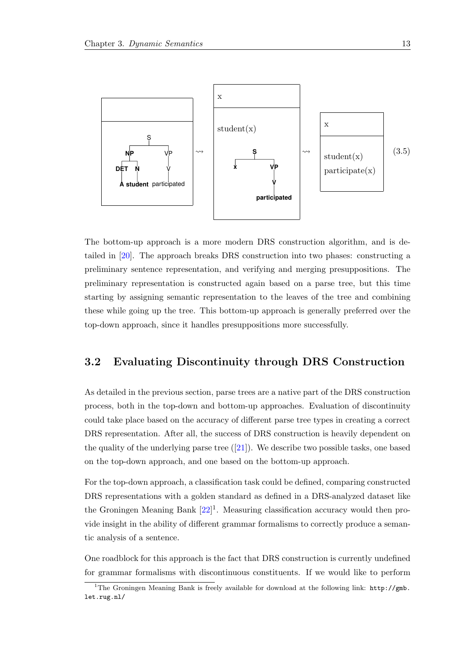

The bottom-up approach is a more modern DRS construction algorithm, and is detailed in [\[20\]](#page-40-8). The approach breaks DRS construction into two phases: constructing a preliminary sentence representation, and verifying and merging presuppositions. The preliminary representation is constructed again based on a parse tree, but this time starting by assigning semantic representation to the leaves of the tree and combining these while going up the tree. This bottom-up approach is generally preferred over the top-down approach, since it handles presuppositions more successfully.

#### <span id="page-17-0"></span>3.2 Evaluating Discontinuity through DRS Construction

As detailed in the previous section, parse trees are a native part of the DRS construction process, both in the top-down and bottom-up approaches. Evaluation of discontinuity could take place based on the accuracy of different parse tree types in creating a correct DRS representation. After all, the success of DRS construction is heavily dependent on the quality of the underlying parse tree  $([21])$  $([21])$  $([21])$ . We describe two possible tasks, one based on the top-down approach, and one based on the bottom-up approach.

For the top-down approach, a classification task could be defined, comparing constructed DRS representations with a golden standard as defined in a DRS-analyzed dataset like the Groningen Meaning Bank  $[22]$ <sup>[1](#page-17-1)</sup>. Measuring classification accuracy would then provide insight in the ability of different grammar formalisms to correctly produce a semantic analysis of a sentence.

One roadblock for this approach is the fact that DRS construction is currently undefined for grammar formalisms with discontinuous constituents. If we would like to perform

<span id="page-17-1"></span><sup>&</sup>lt;sup>1</sup>The Groningen Meaning Bank is freely available for download at the following link: [http://gmb.](http://gmb.let.rug.nl/) [let.rug.nl/](http://gmb.let.rug.nl/)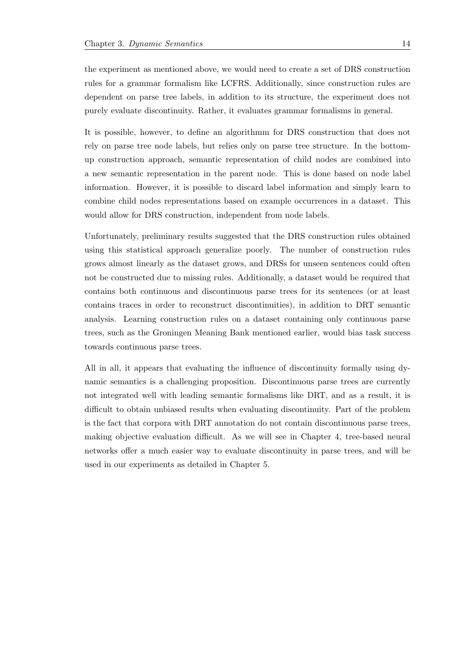the experiment as mentioned above, we would need to create a set of DRS construction rules for a grammar formalism like LCFRS. Additionally, since construction rules are dependent on parse tree labels, in addition to its structure, the experiment does not purely evaluate discontinuity. Rather, it evaluates grammar formalisms in general.

It is possible, however, to define an algorithmm for DRS construction that does not rely on parse tree node labels, but relies only on parse tree structure. In the bottomup construction approach, semantic representation of child nodes are combined into a new semantic representation in the parent node. This is done based on node label information. However, it is possible to discard label information and simply learn to combine child nodes representations based on example occurrences in a dataset. This would allow for DRS construction, independent from node labels.

Unfortunately, preliminary results suggested that the DRS construction rules obtained using this statistical approach generalize poorly. The number of construction rules grows almost linearly as the dataset grows, and DRSs for unseen sentences could often not be constructed due to missing rules. Additionally, a dataset would be required that contains both continuous and discontinuous parse trees for its sentences (or at least contains traces in order to reconstruct discontinuities), in addition to DRT semantic analysis. Learning construction rules on a dataset containing only continuous parse trees, such as the Groningen Meaning Bank mentioned earlier, would bias task success towards continuous parse trees.

All in all, it appears that evaluating the influence of discontinuity formally using dynamic semantics is a challenging proposition. Discontinuous parse trees are currently not integrated well with leading semantic formalisms like DRT, and as a result, it is difficult to obtain unbiased results when evaluating discontinuity. Part of the problem is the fact that corpora with DRT annotation do not contain discontinuous parse trees, making objective evaluation difficult. As we will see in Chapter [4,](#page-19-0) tree-based neural networks offer a much easier way to evaluate discontinuity in parse trees, and will be used in our experiments as detailed in Chapter [5.](#page-25-0)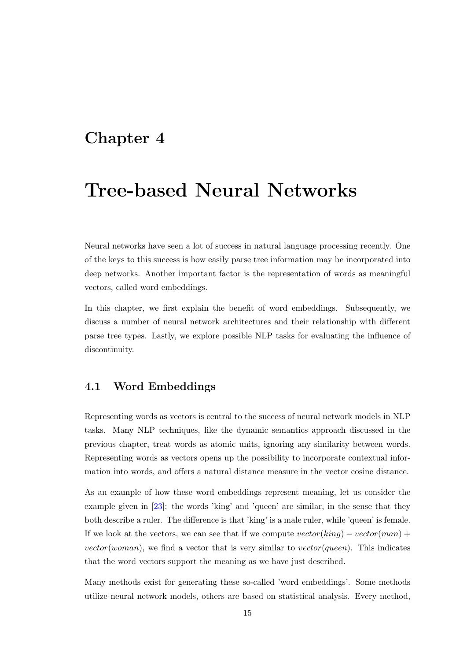## <span id="page-19-0"></span>Chapter 4

## Tree-based Neural Networks

Neural networks have seen a lot of success in natural language processing recently. One of the keys to this success is how easily parse tree information may be incorporated into deep networks. Another important factor is the representation of words as meaningful vectors, called word embeddings.

In this chapter, we first explain the benefit of word embeddings. Subsequently, we discuss a number of neural network architectures and their relationship with different parse tree types. Lastly, we explore possible NLP tasks for evaluating the influence of discontinuity.

#### <span id="page-19-1"></span>4.1 Word Embeddings

Representing words as vectors is central to the success of neural network models in NLP tasks. Many NLP techniques, like the dynamic semantics approach discussed in the previous chapter, treat words as atomic units, ignoring any similarity between words. Representing words as vectors opens up the possibility to incorporate contextual information into words, and offers a natural distance measure in the vector cosine distance.

As an example of how these word embeddings represent meaning, let us consider the example given in [\[23\]](#page-40-11): the words 'king' and 'queen' are similar, in the sense that they both describe a ruler. The difference is that 'king' is a male ruler, while 'queen' is female. If we look at the vectors, we can see that if we compute  $vector(king) - vector(man) +$ vector(woman), we find a vector that is very similar to vector(queen). This indicates that the word vectors support the meaning as we have just described.

Many methods exist for generating these so-called 'word embeddings'. Some methods utilize neural network models, others are based on statistical analysis. Every method,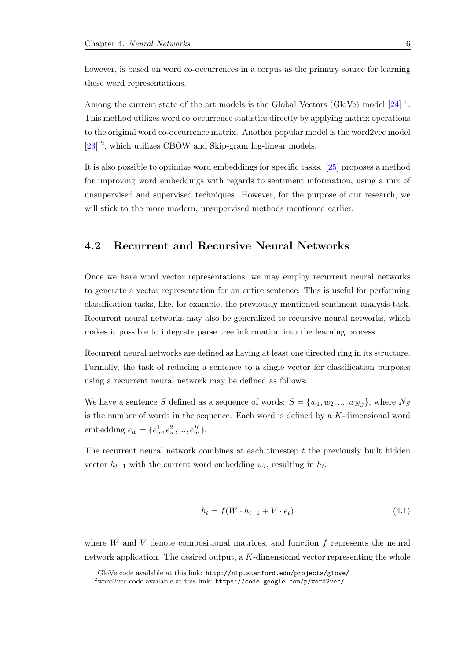however, is based on word co-occurrences in a corpus as the primary source for learning these word representations.

Among the current state of the art models is the Global Vectors (GloVe) model  $[24]$ <sup>[1](#page-20-1)</sup>. This method utilizes word co-occurrence statistics directly by applying matrix operations to the original word co-occurrence matrix. Another popular model is the word2vec model [\[23\]](#page-40-11)<sup>[2](#page-20-2)</sup>, which utilizes CBOW and Skip-gram log-linear models.

It is also possible to optimize word embeddings for specific tasks. [\[25\]](#page-41-1) proposes a method for improving word embeddings with regards to sentiment information, using a mix of unsupervised and supervised techniques. However, for the purpose of our research, we will stick to the more modern, unsupervised methods mentioned earlier.

#### <span id="page-20-0"></span>4.2 Recurrent and Recursive Neural Networks

Once we have word vector representations, we may employ recurrent neural networks to generate a vector representation for an entire sentence. This is useful for performing classification tasks, like, for example, the previously mentioned sentiment analysis task. Recurrent neural networks may also be generalized to recursive neural networks, which makes it possible to integrate parse tree information into the learning process.

Recurrent neural networks are defined as having at least one directed ring in its structure. Formally, the task of reducing a sentence to a single vector for classification purposes using a recurrent neural network may be defined as follows:

We have a sentence S defined as a sequence of words:  $S = \{w_1, w_2, ..., w_{N_S}\}$ , where  $N_S$ is the number of words in the sequence. Each word is defined by a K-dimensional word embedding  $e_w = \{e_w^1, e_w^2, ..., e_w^K\}.$ 

The recurrent neural network combines at each timestep t the previously built hidden vector  $h_{t-1}$  with the current word embedding  $w_t$ , resulting in  $h_t$ :

$$
h_t = f(W \cdot h_{t-1} + V \cdot e_t) \tag{4.1}
$$

where  $W$  and  $V$  denote compositional matrices, and function  $f$  represents the neural network application. The desired output, a  $K$ -dimensional vector representing the whole

<span id="page-20-1"></span> $1$ GloVe code available at this link: <http://nlp.stanford.edu/projects/glove/>

<span id="page-20-2"></span> $2\text{word2vec}$  code available at this link: <https://code.google.com/p/word2vec/>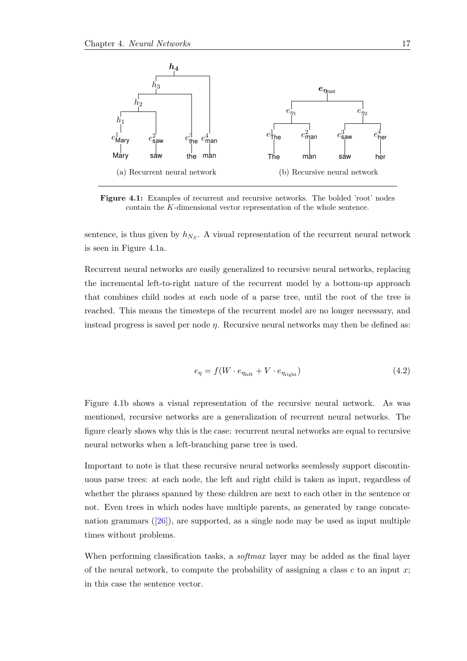<span id="page-21-0"></span>

Figure 4.1: Examples of recurrent and recursive networks. The bolded 'root' nodes contain the K-dimensional vector representation of the whole sentence.

sentence, is thus given by  $h_{N_S}$ . A visual representation of the recurrent neural network is seen in Figure [4.1a.](#page-21-0)

Recurrent neural networks are easily generalized to recursive neural networks, replacing the incremental left-to-right nature of the recurrent model by a bottom-up approach that combines child nodes at each node of a parse tree, until the root of the tree is reached. This means the timesteps of the recurrent model are no longer necessary, and instead progress is saved per node  $\eta$ . Recursive neural networks may then be defined as:

$$
e_{\eta} = f(W \cdot e_{\eta_{\text{left}}} + V \cdot e_{\eta_{\text{right}}}) \tag{4.2}
$$

Figure [4.1b](#page-21-0) shows a visual representation of the recursive neural network. As was mentioned, recursive networks are a generalization of recurrent neural networks. The figure clearly shows why this is the case: recurrent neural networks are equal to recursive neural networks when a left-branching parse tree is used.

Important to note is that these recursive neural networks seemlessly support discontinuous parse trees: at each node, the left and right child is taken as input, regardless of whether the phrases spanned by these children are next to each other in the sentence or not. Even trees in which nodes have multiple parents, as generated by range concatenation grammars  $([26])$  $([26])$  $([26])$ , are supported, as a single node may be used as input multiple times without problems.

When performing classification tasks, a *softmax* layer may be added as the final layer of the neural network, to compute the probability of assigning a class  $c$  to an input  $x$ ; in this case the sentence vector.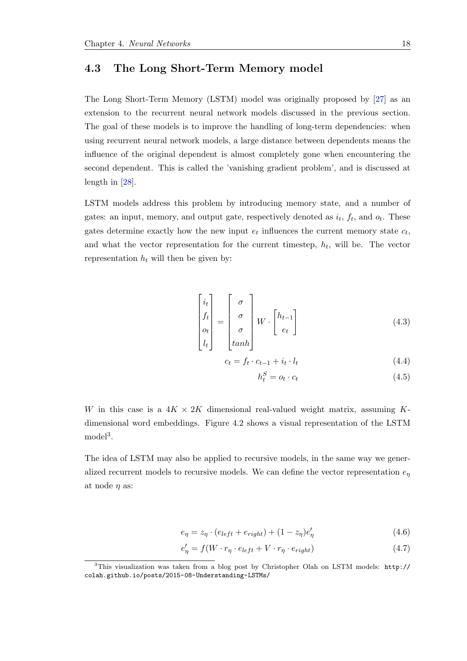#### <span id="page-22-0"></span>4.3 The Long Short-Term Memory model

The Long Short-Term Memory (LSTM) model was originally proposed by [\[27\]](#page-41-3) as an extension to the recurrent neural network models discussed in the previous section. The goal of these models is to improve the handling of long-term dependencies: when using recurrent neural network models, a large distance between dependents means the influence of the original dependent is almost completely gone when encountering the second dependent. This is called the 'vanishing gradient problem', and is discussed at length in [\[28\]](#page-41-4).

LSTM models address this problem by introducing memory state, and a number of gates: an input, memory, and output gate, respectively denoted as  $i_t$ ,  $f_t$ , and  $o_t$ . These gates determine exactly how the new input  $e_t$  influences the current memory state  $c_t$ , and what the vector representation for the current timestep,  $h_t$ , will be. The vector representation  $h_t$  will then be given by:

$$
\begin{bmatrix} i_t \\ f_t \\ o_t \\ l_t \end{bmatrix} = \begin{bmatrix} \sigma \\ \sigma \\ \sigma \\ \tanh \end{bmatrix} W \cdot \begin{bmatrix} h_{t-1} \\ e_t \end{bmatrix}
$$
 (4.3)

$$
c_t = f_t \cdot c_{t-1} + i_t \cdot l_t \tag{4.4}
$$

$$
h_t^S = o_t \cdot c_t \tag{4.5}
$$

W in this case is a  $4K \times 2K$  dimensional real-valued weight matrix, assuming Kdimensional word embeddings. Figure [4.2](#page-23-1) shows a visual representation of the LSTM  $\text{model}^3$  $\text{model}^3$ .

The idea of LSTM may also be applied to recursive models, in the same way we generalized recurrent models to recursive models. We can define the vector representation  $e_{\eta}$ at node  $\eta$  as:

$$
e_{\eta} = z_{\eta} \cdot (e_{left} + e_{right}) + (1 - z_{\eta})e_{\eta}' \tag{4.6}
$$

$$
e'_{\eta} = f(W \cdot r_{\eta} \cdot e_{left} + V \cdot r_{\eta} \cdot e_{right}) \tag{4.7}
$$

<span id="page-22-1"></span><sup>3</sup>This visualization was taken from a blog post by Christopher Olah on LSTM models: [http://](http://colah.github.io/posts/2015-08-Understanding-LSTMs/) [colah.github.io/posts/2015-08-Understanding-LSTMs/](http://colah.github.io/posts/2015-08-Understanding-LSTMs/)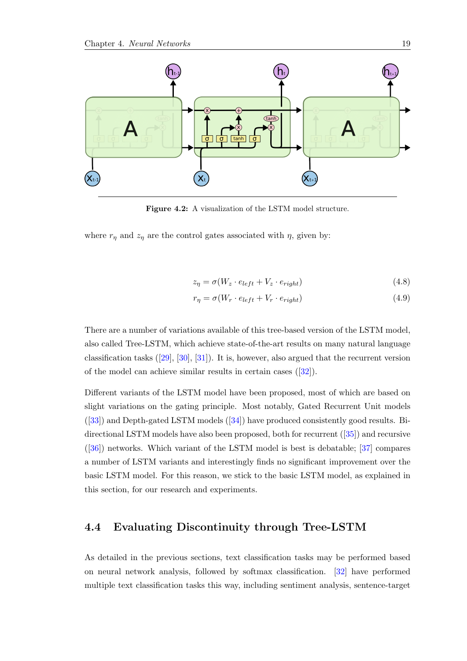<span id="page-23-1"></span>

Figure 4.2: A visualization of the LSTM model structure.

where  $r_{\eta}$  and  $z_{\eta}$  are the control gates associated with  $\eta$ , given by:

$$
z_{\eta} = \sigma(W_z \cdot e_{left} + V_z \cdot e_{right}) \tag{4.8}
$$

$$
r_{\eta} = \sigma(W_r \cdot e_{left} + V_r \cdot e_{right}) \tag{4.9}
$$

There are a number of variations available of this tree-based version of the LSTM model, also called Tree-LSTM, which achieve state-of-the-art results on many natural language classification tasks  $([29], [30], [31])$  $([29], [30], [31])$  $([29], [30], [31])$  $([29], [30], [31])$  $([29], [30], [31])$  $([29], [30], [31])$  $([29], [30], [31])$ . It is, however, also argued that the recurrent version of the model can achieve similar results in certain cases  $([32])$  $([32])$  $([32])$ .

Different variants of the LSTM model have been proposed, most of which are based on slight variations on the gating principle. Most notably, Gated Recurrent Unit models ([\[33\]](#page-41-9)) and Depth-gated LSTM models ([\[34\]](#page-41-10)) have produced consistently good results. Bidirectional LSTM models have also been proposed, both for recurrent ([\[35\]](#page-41-11)) and recursive ([\[36\]](#page-42-0)) networks. Which variant of the LSTM model is best is debatable; [\[37\]](#page-42-1) compares a number of LSTM variants and interestingly finds no significant improvement over the basic LSTM model. For this reason, we stick to the basic LSTM model, as explained in this section, for our research and experiments.

#### <span id="page-23-0"></span>4.4 Evaluating Discontinuity through Tree-LSTM

As detailed in the previous sections, text classification tasks may be performed based on neural network analysis, followed by softmax classification. [\[32\]](#page-41-8) have performed multiple text classification tasks this way, including sentiment analysis, sentence-target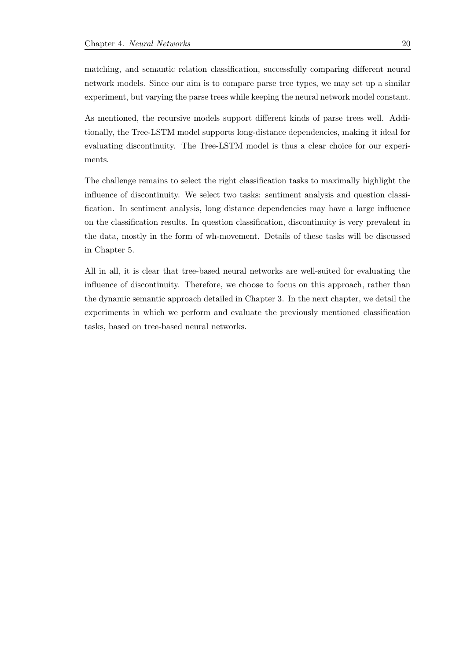matching, and semantic relation classification, successfully comparing different neural network models. Since our aim is to compare parse tree types, we may set up a similar experiment, but varying the parse trees while keeping the neural network model constant.

As mentioned, the recursive models support different kinds of parse trees well. Additionally, the Tree-LSTM model supports long-distance dependencies, making it ideal for evaluating discontinuity. The Tree-LSTM model is thus a clear choice for our experiments.

The challenge remains to select the right classification tasks to maximally highlight the influence of discontinuity. We select two tasks: sentiment analysis and question classification. In sentiment analysis, long distance dependencies may have a large influence on the classification results. In question classification, discontinuity is very prevalent in the data, mostly in the form of wh-movement. Details of these tasks will be discussed in Chapter [5.](#page-25-0)

All in all, it is clear that tree-based neural networks are well-suited for evaluating the influence of discontinuity. Therefore, we choose to focus on this approach, rather than the dynamic semantic approach detailed in Chapter [3.](#page-15-0) In the next chapter, we detail the experiments in which we perform and evaluate the previously mentioned classification tasks, based on tree-based neural networks.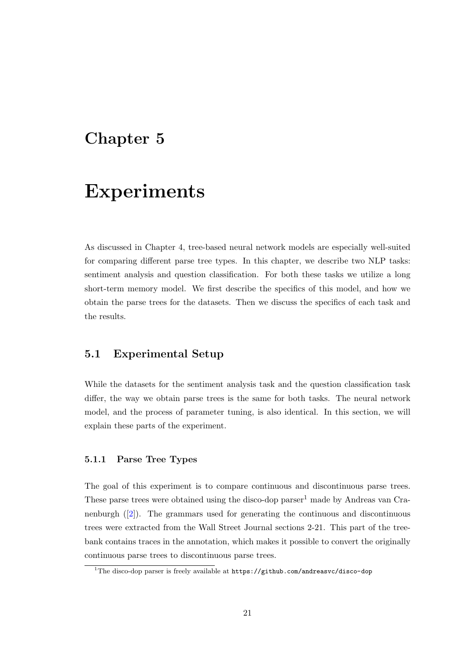## <span id="page-25-0"></span>Chapter 5

## Experiments

As discussed in Chapter [4,](#page-19-0) tree-based neural network models are especially well-suited for comparing different parse tree types. In this chapter, we describe two NLP tasks: sentiment analysis and question classification. For both these tasks we utilize a long short-term memory model. We first describe the specifics of this model, and how we obtain the parse trees for the datasets. Then we discuss the specifics of each task and the results.

#### <span id="page-25-1"></span>5.1 Experimental Setup

While the datasets for the sentiment analysis task and the question classification task differ, the way we obtain parse trees is the same for both tasks. The neural network model, and the process of parameter tuning, is also identical. In this section, we will explain these parts of the experiment.

#### <span id="page-25-2"></span>5.1.1 Parse Tree Types

The goal of this experiment is to compare continuous and discontinuous parse trees. These parse trees were obtained using the disco-dop parser<sup>[1](#page-25-3)</sup> made by Andreas van Cranenburgh ([\[2\]](#page-39-2)). The grammars used for generating the continuous and discontinuous trees were extracted from the Wall Street Journal sections 2-21. This part of the treebank contains traces in the annotation, which makes it possible to convert the originally continuous parse trees to discontinuous parse trees.

<span id="page-25-3"></span><sup>&</sup>lt;sup>1</sup>The disco-dop parser is freely available at  $https://github.com/andreasvc/disco-dop$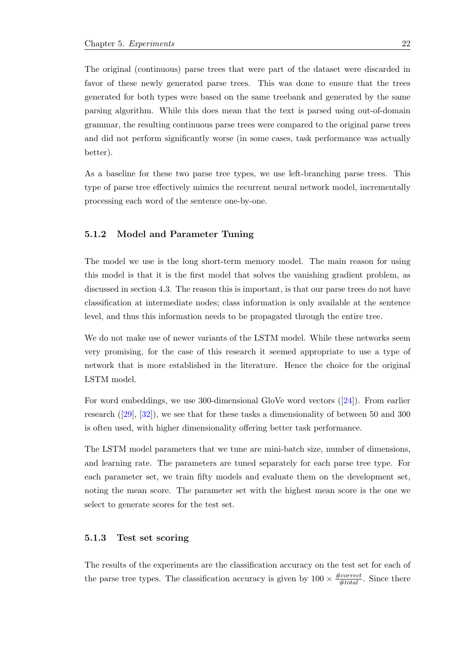The original (continuous) parse trees that were part of the dataset were discarded in favor of these newly generated parse trees. This was done to ensure that the trees generated for both types were based on the same treebank and generated by the same parsing algorithm. While this does mean that the text is parsed using out-of-domain grammar, the resulting continuous parse trees were compared to the original parse trees and did not perform significantly worse (in some cases, task performance was actually better).

As a baseline for these two parse tree types, we use left-branching parse trees. This type of parse tree effectively mimics the recurrent neural network model, incrementally processing each word of the sentence one-by-one.

#### <span id="page-26-0"></span>5.1.2 Model and Parameter Tuning

The model we use is the long short-term memory model. The main reason for using this model is that it is the first model that solves the vanishing gradient problem, as discussed in section [4.3.](#page-22-0) The reason this is important, is that our parse trees do not have classification at intermediate nodes; class information is only available at the sentence level, and thus this information needs to be propagated through the entire tree.

We do not make use of newer variants of the LSTM model. While these networks seem very promising, for the case of this research it seemed appropriate to use a type of network that is more established in the literature. Hence the choice for the original LSTM model.

For word embeddings, we use 300-dimensional GloVe word vectors ([\[24\]](#page-41-0)). From earlier research ([\[29\]](#page-41-5), [\[32\]](#page-41-8)), we see that for these tasks a dimensionality of between 50 and 300 is often used, with higher dimensionality offering better task performance.

The LSTM model parameters that we tune are mini-batch size, number of dimensions, and learning rate. The parameters are tuned separately for each parse tree type. For each parameter set, we train fifty models and evaluate them on the development set, noting the mean score. The parameter set with the highest mean score is the one we select to generate scores for the test set.

#### <span id="page-26-1"></span>5.1.3 Test set scoring

The results of the experiments are the classification accuracy on the test set for each of the parse tree types. The classification accuracy is given by  $100 \times \frac{\#correct}{\#total}$ . Since there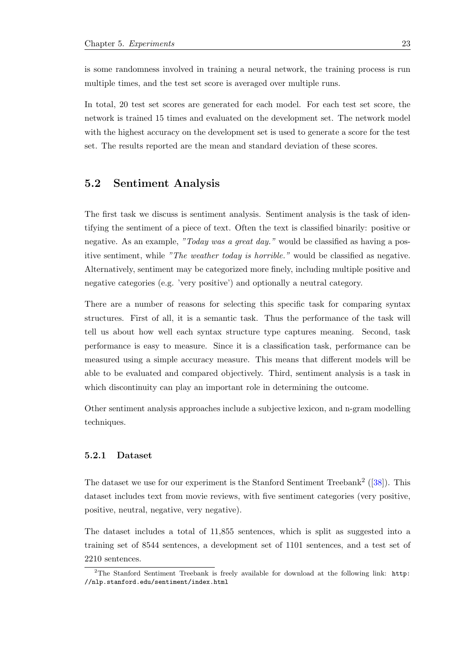is some randomness involved in training a neural network, the training process is run multiple times, and the test set score is averaged over multiple runs.

In total, 20 test set scores are generated for each model. For each test set score, the network is trained 15 times and evaluated on the development set. The network model with the highest accuracy on the development set is used to generate a score for the test set. The results reported are the mean and standard deviation of these scores.

#### <span id="page-27-0"></span>5.2 Sentiment Analysis

The first task we discuss is sentiment analysis. Sentiment analysis is the task of identifying the sentiment of a piece of text. Often the text is classified binarily: positive or negative. As an example, "Today was a great day." would be classified as having a positive sentiment, while "The weather today is horrible." would be classified as negative. Alternatively, sentiment may be categorized more finely, including multiple positive and negative categories (e.g. 'very positive') and optionally a neutral category.

There are a number of reasons for selecting this specific task for comparing syntax structures. First of all, it is a semantic task. Thus the performance of the task will tell us about how well each syntax structure type captures meaning. Second, task performance is easy to measure. Since it is a classification task, performance can be measured using a simple accuracy measure. This means that different models will be able to be evaluated and compared objectively. Third, sentiment analysis is a task in which discontinuity can play an important role in determining the outcome.

Other sentiment analysis approaches include a subjective lexicon, and n-gram modelling techniques.

#### <span id="page-27-1"></span>5.2.1 Dataset

The dataset we use for our experiment is the Stanford Sentiment Treebank<sup>[2](#page-27-2)</sup> ( $[38]$ ). This dataset includes text from movie reviews, with five sentiment categories (very positive, positive, neutral, negative, very negative).

The dataset includes a total of 11,855 sentences, which is split as suggested into a training set of 8544 sentences, a development set of 1101 sentences, and a test set of 2210 sentences.

<span id="page-27-2"></span><sup>&</sup>lt;sup>2</sup>The Stanford Sentiment Treebank is freely available for download at the following link: [http:](http://nlp.stanford.edu/sentiment/index.html) [//nlp.stanford.edu/sentiment/index.html](http://nlp.stanford.edu/sentiment/index.html)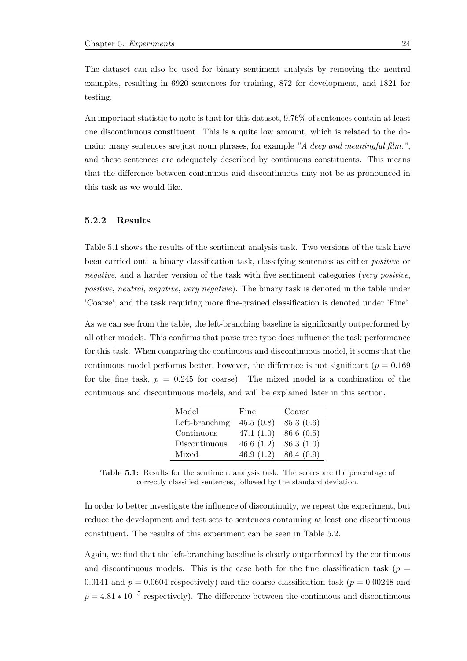The dataset can also be used for binary sentiment analysis by removing the neutral examples, resulting in 6920 sentences for training, 872 for development, and 1821 for testing.

An important statistic to note is that for this dataset, 9.76% of sentences contain at least one discontinuous constituent. This is a quite low amount, which is related to the domain: many sentences are just noun phrases, for example "A deep and meaningful film.", and these sentences are adequately described by continuous constituents. This means that the difference between continuous and discontinuous may not be as pronounced in this task as we would like.

#### <span id="page-28-0"></span>5.2.2 Results

Table [5.1](#page-28-1) shows the results of the sentiment analysis task. Two versions of the task have been carried out: a binary classification task, classifying sentences as either positive or negative, and a harder version of the task with five sentiment categories (very positive, positive, neutral, negative, very negative). The binary task is denoted in the table under 'Coarse', and the task requiring more fine-grained classification is denoted under 'Fine'.

As we can see from the table, the left-branching baseline is significantly outperformed by all other models. This confirms that parse tree type does influence the task performance for this task. When comparing the continuous and discontinuous model, it seems that the continuous model performs better, however, the difference is not significant ( $p = 0.169$ ) for the fine task,  $p = 0.245$  for coarse). The mixed model is a combination of the continuous and discontinuous models, and will be explained later in this section.

| Model          | Fine         | Coarse    |
|----------------|--------------|-----------|
| Left-branching | 45.5(0.8)    | 85.3(0.6) |
| Continuous     | 47.1 $(1.0)$ | 86.6(0.5) |
| Discontinuous  | 46.6 $(1.2)$ | 86.3(1.0) |
| Mixed          | 46.9 $(1.2)$ | 86.4(0.9) |

<span id="page-28-1"></span>Table 5.1: Results for the sentiment analysis task. The scores are the percentage of correctly classified sentences, followed by the standard deviation.

In order to better investigate the influence of discontinuity, we repeat the experiment, but reduce the development and test sets to sentences containing at least one discontinuous constituent. The results of this experiment can be seen in Table [5.2.](#page-29-1)

Again, we find that the left-branching baseline is clearly outperformed by the continuous and discontinuous models. This is the case both for the fine classification task ( $p =$ 0.0141 and  $p = 0.0604$  respectively) and the coarse classification task ( $p = 0.00248$  and  $p = 4.81 * 10^{-5}$  respectively). The difference between the continuous and discontinuous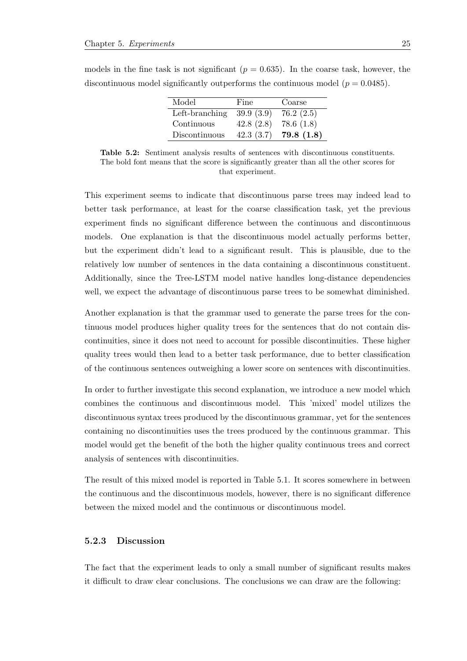| Model          | Fine      | Coarse    |
|----------------|-----------|-----------|
| Left-branching | 39.9(3.9) | 76.2(2.5) |
| Continuous     | 42.8(2.8) | 78.6(1.8) |
| Discontinuous  | 42.3(3.7) | 79.8(1.8) |

<span id="page-29-1"></span>models in the fine task is not significant ( $p = 0.635$ ). In the coarse task, however, the discontinuous model significantly outperforms the continuous model ( $p = 0.0485$ ).

Table 5.2: Sentiment analysis results of sentences with discontinuous constituents. The bold font means that the score is significantly greater than all the other scores for that experiment.

This experiment seems to indicate that discontinuous parse trees may indeed lead to better task performance, at least for the coarse classification task, yet the previous experiment finds no significant difference between the continuous and discontinuous models. One explanation is that the discontinuous model actually performs better, but the experiment didn't lead to a significant result. This is plausible, due to the relatively low number of sentences in the data containing a discontinuous constituent. Additionally, since the Tree-LSTM model native handles long-distance dependencies well, we expect the advantage of discontinuous parse trees to be somewhat diminished.

Another explanation is that the grammar used to generate the parse trees for the continuous model produces higher quality trees for the sentences that do not contain discontinuities, since it does not need to account for possible discontinuities. These higher quality trees would then lead to a better task performance, due to better classification of the continuous sentences outweighing a lower score on sentences with discontinuities.

In order to further investigate this second explanation, we introduce a new model which combines the continuous and discontinuous model. This 'mixed' model utilizes the discontinuous syntax trees produced by the discontinuous grammar, yet for the sentences containing no discontinuities uses the trees produced by the continuous grammar. This model would get the benefit of the both the higher quality continuous trees and correct analysis of sentences with discontinuities.

The result of this mixed model is reported in Table [5.1.](#page-28-1) It scores somewhere in between the continuous and the discontinuous models, however, there is no significant difference between the mixed model and the continuous or discontinuous model.

#### <span id="page-29-0"></span>5.2.3 Discussion

The fact that the experiment leads to only a small number of significant results makes it difficult to draw clear conclusions. The conclusions we can draw are the following: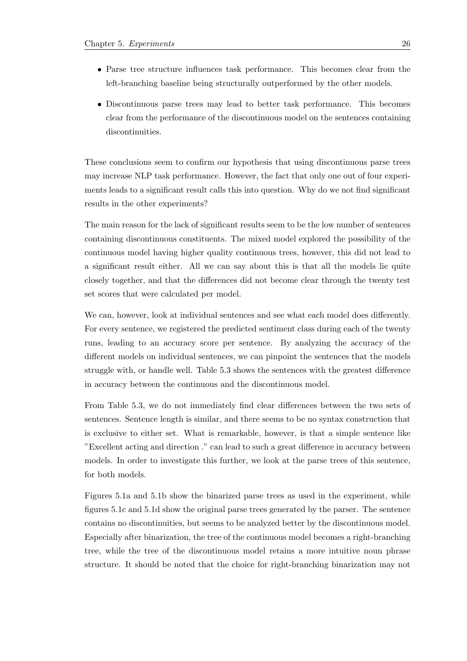- Parse tree structure influences task performance. This becomes clear from the left-branching baseline being structurally outperformed by the other models.
- Discontinuous parse trees may lead to better task performance. This becomes clear from the performance of the discontinuous model on the sentences containing discontinuities.

These conclusions seem to confirm our hypothesis that using discontinuous parse trees may increase NLP task performance. However, the fact that only one out of four experiments leads to a significant result calls this into question. Why do we not find significant results in the other experiments?

The main reason for the lack of significant results seem to be the low number of sentences containing discontinuous constituents. The mixed model explored the possibility of the continuous model having higher quality continuous trees, however, this did not lead to a significant result either. All we can say about this is that all the models lie quite closely together, and that the differences did not become clear through the twenty test set scores that were calculated per model.

We can, however, look at individual sentences and see what each model does differently. For every sentence, we registered the predicted sentiment class during each of the twenty runs, leading to an accuracy score per sentence. By analyzing the accuracy of the different models on individual sentences, we can pinpoint the sentences that the models struggle with, or handle well. Table [5.3](#page-31-0) shows the sentences with the greatest difference in accuracy between the continuous and the discontinuous model.

From Table [5.3,](#page-31-0) we do not immediately find clear differences between the two sets of sentences. Sentence length is similar, and there seems to be no syntax construction that is exclusive to either set. What is remarkable, however, is that a simple sentence like "Excellent acting and direction ." can lead to such a great difference in accuracy between models. In order to investigate this further, we look at the parse trees of this sentence, for both models.

Figures [5.1a](#page-32-2) and [5.1b](#page-32-2) show the binarized parse trees as used in the experiment, while figures [5.1c](#page-32-2) and [5.1d](#page-32-2) show the original parse trees generated by the parser. The sentence contains no discontinuities, but seems to be analyzed better by the discontinuous model. Especially after binarization, the tree of the continuous model becomes a right-branching tree, while the tree of the discontinuous model retains a more intuitive noun phrase structure. It should be noted that the choice for right-branching binarization may not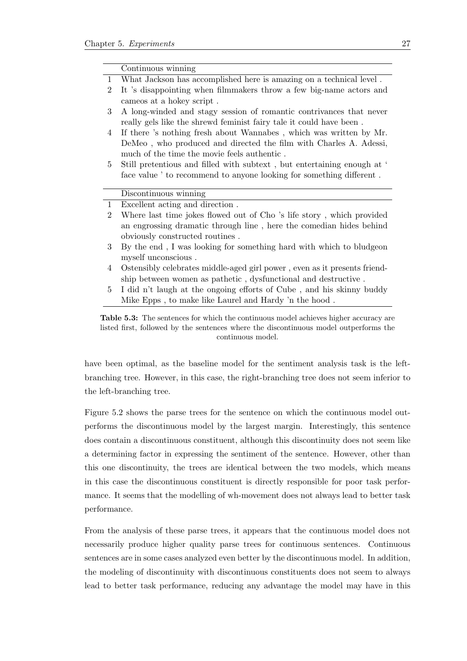<span id="page-31-0"></span>

|                | Continuous winning                                                        |  |  |
|----------------|---------------------------------------------------------------------------|--|--|
| $\mathbf{1}$   | What Jackson has accomplished here is amazing on a technical level.       |  |  |
| $\overline{2}$ | It 's disappointing when filmmakers throw a few big-name actors and       |  |  |
|                | cameos at a hokey script.                                                 |  |  |
| 3              | A long-winded and stagy session of romantic contrivances that never       |  |  |
|                | really gels like the shrewd feminist fairy tale it could have been.       |  |  |
| 4              | If there 's nothing fresh about Wannabes, which was written by Mr.        |  |  |
|                | DeMeo, who produced and directed the film with Charles A. Adessi,         |  |  |
|                | much of the time the movie feels authentic.                               |  |  |
| 5              | Still pretentious and filled with subtext, but entertaining enough at '   |  |  |
|                | face value ' to recommend to anyone looking for something different.      |  |  |
|                |                                                                           |  |  |
|                |                                                                           |  |  |
|                | Discontinuous winning                                                     |  |  |
| $\mathbf{1}$   | Excellent acting and direction.                                           |  |  |
| $\overline{2}$ | Where last time jokes flowed out of Cho 's life story, which provided     |  |  |
|                | an engrossing dramatic through line, here the comedian hides behind       |  |  |
|                | obviously constructed routines.                                           |  |  |
| 3              | By the end, I was looking for something hard with which to bludge on      |  |  |
|                | myself unconscious.                                                       |  |  |
| 4              | Ostensibly celebrates middle-aged girl power, even as it presents friend- |  |  |
|                | ship between women as pathetic, dysfunctional and destructive.            |  |  |
| 5              | I did n't laugh at the ongoing efforts of Cube, and his skinny buddy      |  |  |
|                | Mike Epps, to make like Laurel and Hardy 'n the hood.                     |  |  |

Table 5.3: The sentences for which the continuous model achieves higher accuracy are listed first, followed by the sentences where the discontinuous model outperforms the continuous model.

have been optimal, as the baseline model for the sentiment analysis task is the leftbranching tree. However, in this case, the right-branching tree does not seem inferior to the left-branching tree.

Figure [5.2](#page-33-0) shows the parse trees for the sentence on which the continuous model outperforms the discontinuous model by the largest margin. Interestingly, this sentence does contain a discontinuous constituent, although this discontinuity does not seem like a determining factor in expressing the sentiment of the sentence. However, other than this one discontinuity, the trees are identical between the two models, which means in this case the discontinuous constituent is directly responsible for poor task performance. It seems that the modelling of wh-movement does not always lead to better task performance.

From the analysis of these parse trees, it appears that the continuous model does not necessarily produce higher quality parse trees for continuous sentences. Continuous sentences are in some cases analyzed even better by the discontinuous model. In addition, the modeling of discontinuity with discontinuous constituents does not seem to always lead to better task performance, reducing any advantage the model may have in this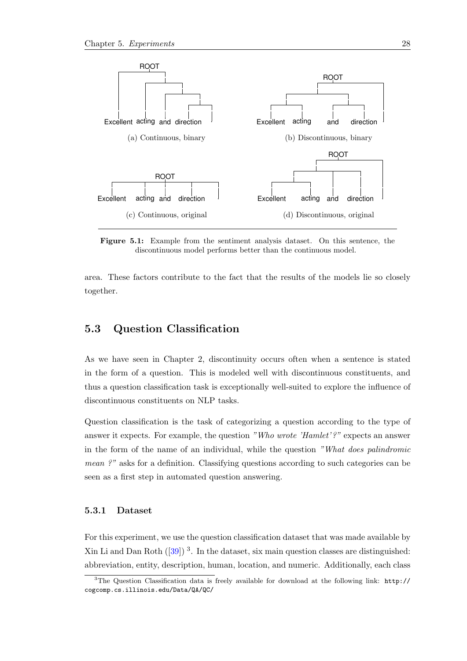<span id="page-32-2"></span>

Figure 5.1: Example from the sentiment analysis dataset. On this sentence, the discontinuous model performs better than the continuous model.

area. These factors contribute to the fact that the results of the models lie so closely together.

#### <span id="page-32-0"></span>5.3 Question Classification

As we have seen in Chapter [2,](#page-8-0) discontinuity occurs often when a sentence is stated in the form of a question. This is modeled well with discontinuous constituents, and thus a question classification task is exceptionally well-suited to explore the influence of discontinuous constituents on NLP tasks.

Question classification is the task of categorizing a question according to the type of answer it expects. For example, the question "Who wrote 'Hamlet'?" expects an answer in the form of the name of an individual, while the question "What does palindromic mean ?" asks for a definition. Classifying questions according to such categories can be seen as a first step in automated question answering.

#### <span id="page-32-1"></span>5.3.1 Dataset

For this experiment, we use the question classification dataset that was made available by Xin Li and Dan Roth  $(39)$  $(39)$  $(39)$ <sup>3</sup>. In the dataset, six main question classes are distinguished: abbreviation, entity, description, human, location, and numeric. Additionally, each class

<span id="page-32-3"></span><sup>3</sup>The Question Classification data is freely available for download at the following link: [http://](http://cogcomp.cs.illinois.edu/Data/QA/QC/) [cogcomp.cs.illinois.edu/Data/QA/QC/](http://cogcomp.cs.illinois.edu/Data/QA/QC/)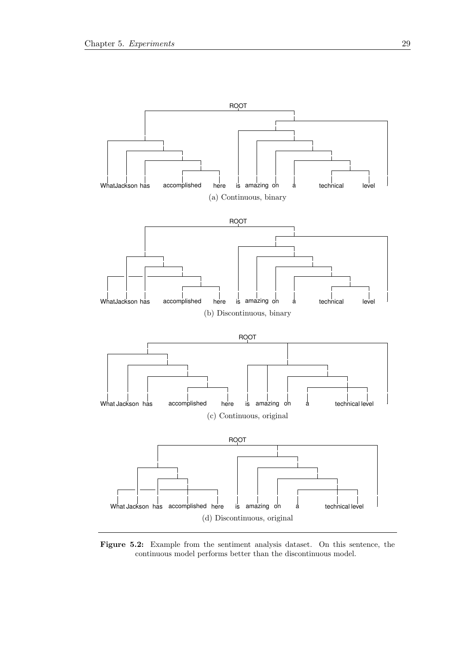<span id="page-33-0"></span>

Figure 5.2: Example from the sentiment analysis dataset. On this sentence, the continuous model performs better than the discontinuous model.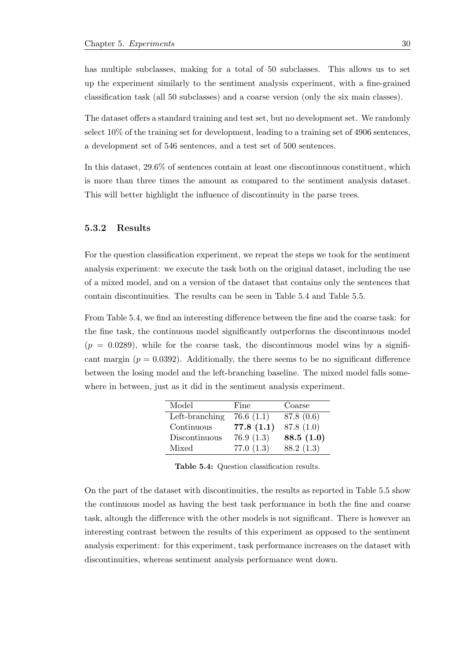has multiple subclasses, making for a total of 50 subclasses. This allows us to set up the experiment similarly to the sentiment analysis experiment, with a fine-grained classification task (all 50 subclasses) and a coarse version (only the six main classes).

The dataset offers a standard training and test set, but no development set. We randomly select 10% of the training set for development, leading to a training set of 4906 sentences, a development set of 546 sentences, and a test set of 500 sentences.

In this dataset, 29.6% of sentences contain at least one discontinuous constituent, which is more than three times the amount as compared to the sentiment analysis dataset. This will better highlight the influence of discontinuity in the parse trees.

#### <span id="page-34-0"></span>5.3.2 Results

For the question classification experiment, we repeat the steps we took for the sentiment analysis experiment: we execute the task both on the original dataset, including the use of a mixed model, and on a version of the dataset that contains only the sentences that contain discontinuities. The results can be seen in Table [5.4](#page-34-1) and Table [5.5.](#page-35-1)

<span id="page-34-1"></span>From Table [5.4,](#page-34-1) we find an interesting difference between the fine and the coarse task: for the fine task, the continuous model significantly outperforms the discontinuous model  $(p = 0.0289)$ , while for the coarse task, the discontinuous model wins by a significant margin  $(p = 0.0392)$ . Additionally, the there seems to be no significant difference between the losing model and the left-branching baseline. The mixed model falls somewhere in between, just as it did in the sentiment analysis experiment.

| Model          | Fine      | Coarse    |
|----------------|-----------|-----------|
| Left-branching | 76.6(1.1) | 87.8(0.6) |
| Continuous     | 77.8(1.1) | 87.8(1.0) |
| Discontinuous  | 76.9(1.3) | 88.5(1.0) |
| Mixed          | 77.0(1.3) | 88.2(1.3) |

Table 5.4: Question classification results.

On the part of the dataset with discontinuities, the results as reported in Table [5.5](#page-35-1) show the continuous model as having the best task performance in both the fine and coarse task, altough the difference with the other models is not significant. There is however an interesting contrast between the results of this experiment as opposed to the sentiment analysis experiment: for this experiment, task performance increases on the dataset with discontinuities, whereas sentiment analysis performance went down.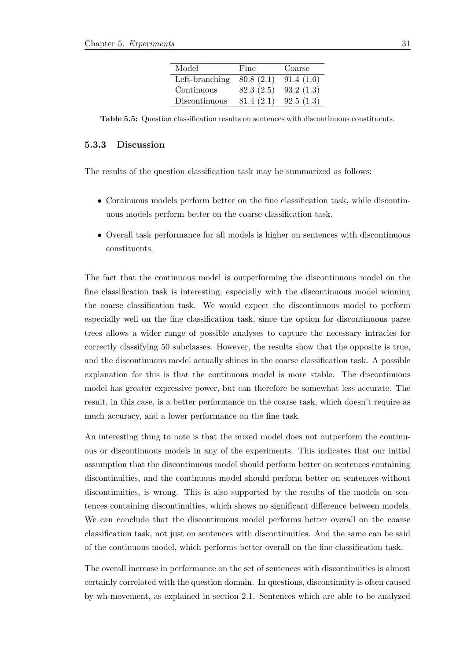| Model          | Fine      | Coarse    |
|----------------|-----------|-----------|
| Left-branching | 80.8(2.1) | 91.4(1.6) |
| Continuous     | 82.3(2.5) | 93.2(1.3) |
| Discontinuous  | 81.4(2.1) | 92.5(1.3) |

<span id="page-35-1"></span>Table 5.5: Question classification results on sentences with discontinuous constituents.

#### <span id="page-35-0"></span>5.3.3 Discussion

The results of the question classification task may be summarized as follows:

- Continuous models perform better on the fine classification task, while discontinuous models perform better on the coarse classification task.
- Overall task performance for all models is higher on sentences with discontinuous constituents.

The fact that the continuous model is outperforming the discontinuous model on the fine classification task is interesting, especially with the discontinuous model winning the coarse classification task. We would expect the discontinuous model to perform especially well on the fine classification task, since the option for discontinuous parse trees allows a wider range of possible analyses to capture the necessary intracies for correctly classifying 50 subclasses. However, the results show that the opposite is true, and the discontinuous model actually shines in the coarse classification task. A possible explanation for this is that the continuous model is more stable. The discontinuous model has greater expressive power, but can therefore be somewhat less accurate. The result, in this case, is a better performance on the coarse task, which doesn't require as much accuracy, and a lower performance on the fine task.

An interesting thing to note is that the mixed model does not outperform the continuous or discontinuous models in any of the experiments. This indicates that our initial assumption that the discontinuous model should perform better on sentences containing discontinuities, and the continuous model should perform better on sentences without discontinuities, is wrong. This is also supported by the results of the models on sentences containing discontinuities, which shows no significant difference between models. We can conclude that the discontinuous model performs better overall on the coarse classification task, not just on sentences with discontinuities. And the same can be said of the continuous model, which performs better overall on the fine classification task.

The overall increase in performance on the set of sentences with discontinuities is almost certainly correlated with the question domain. In questions, discontinuity is often caused by wh-movement, as explained in section [2.1.](#page-8-1) Sentences which are able to be analyzed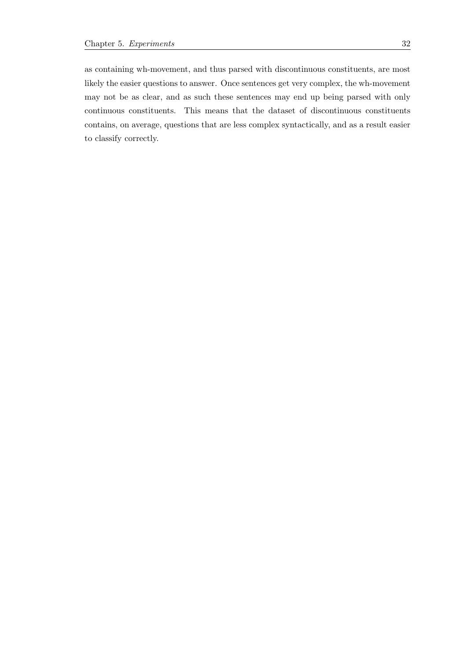as containing wh-movement, and thus parsed with discontinuous constituents, are most likely the easier questions to answer. Once sentences get very complex, the wh-movement may not be as clear, and as such these sentences may end up being parsed with only continuous constituents. This means that the dataset of discontinuous constituents contains, on average, questions that are less complex syntactically, and as a result easier to classify correctly.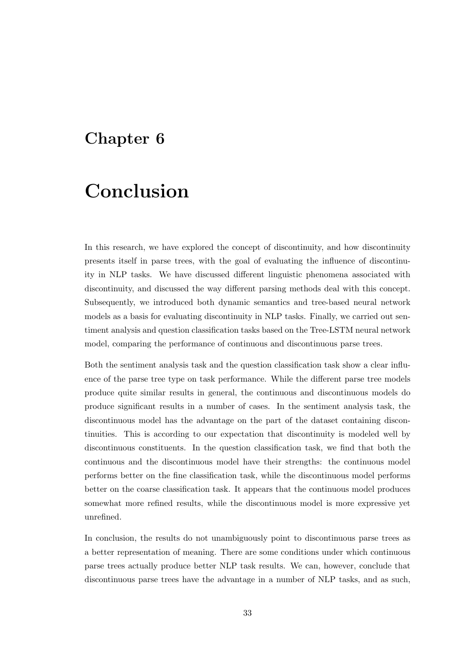## <span id="page-37-0"></span>Chapter 6

# Conclusion

In this research, we have explored the concept of discontinuity, and how discontinuity presents itself in parse trees, with the goal of evaluating the influence of discontinuity in NLP tasks. We have discussed different linguistic phenomena associated with discontinuity, and discussed the way different parsing methods deal with this concept. Subsequently, we introduced both dynamic semantics and tree-based neural network models as a basis for evaluating discontinuity in NLP tasks. Finally, we carried out sentiment analysis and question classification tasks based on the Tree-LSTM neural network model, comparing the performance of continuous and discontinuous parse trees.

Both the sentiment analysis task and the question classification task show a clear influence of the parse tree type on task performance. While the different parse tree models produce quite similar results in general, the continuous and discontinuous models do produce significant results in a number of cases. In the sentiment analysis task, the discontinuous model has the advantage on the part of the dataset containing discontinuities. This is according to our expectation that discontinuity is modeled well by discontinuous constituents. In the question classification task, we find that both the continuous and the discontinuous model have their strengths: the continuous model performs better on the fine classification task, while the discontinuous model performs better on the coarse classification task. It appears that the continuous model produces somewhat more refined results, while the discontinuous model is more expressive yet unrefined.

In conclusion, the results do not unambiguously point to discontinuous parse trees as a better representation of meaning. There are some conditions under which continuous parse trees actually produce better NLP task results. We can, however, conclude that discontinuous parse trees have the advantage in a number of NLP tasks, and as such,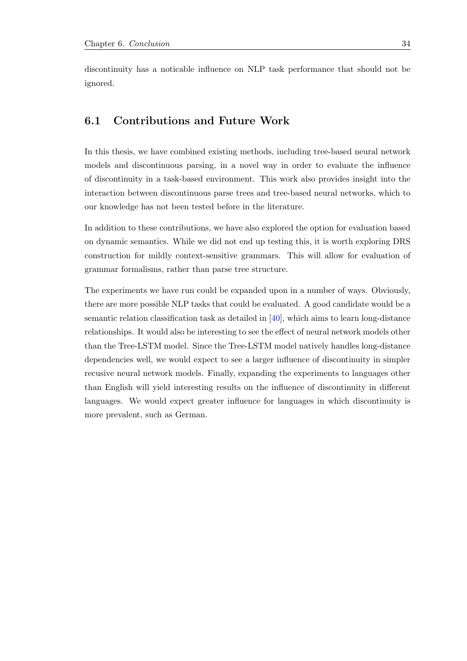discontinuity has a noticable influence on NLP task performance that should not be ignored.

#### <span id="page-38-0"></span>6.1 Contributions and Future Work

In this thesis, we have combined existing methods, including tree-based neural network models and discontinuous parsing, in a novel way in order to evaluate the influence of discontinuity in a task-based environment. This work also provides insight into the interaction between discontinuous parse trees and tree-based neural networks, which to our knowledge has not been tested before in the literature.

In addition to these contributions, we have also explored the option for evaluation based on dynamic semantics. While we did not end up testing this, it is worth exploring DRS construction for mildly context-sensitive grammars. This will allow for evaluation of grammar formalisms, rather than parse tree structure.

The experiments we have run could be expanded upon in a number of ways. Obviously, there are more possible NLP tasks that could be evaluated. A good candidate would be a semantic relation classification task as detailed in [\[40\]](#page-42-4), which aims to learn long-distance relationships. It would also be interesting to see the effect of neural network models other than the Tree-LSTM model. Since the Tree-LSTM model natively handles long-distance dependencies well, we would expect to see a larger influence of discontinuity in simpler recusive neural network models. Finally, expanding the experiments to languages other than English will yield interesting results on the influence of discontinuity in different languages. We would expect greater influence for languages in which discontinuity is more prevalent, such as German.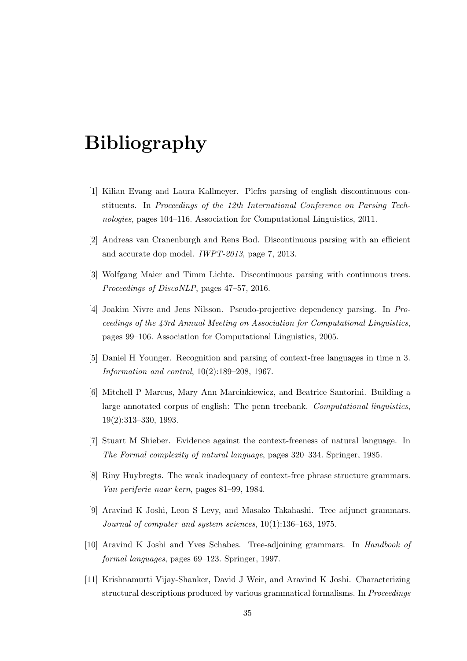# <span id="page-39-0"></span>Bibliography

- <span id="page-39-1"></span>[1] Kilian Evang and Laura Kallmeyer. Plcfrs parsing of english discontinuous constituents. In Proceedings of the 12th International Conference on Parsing Technologies, pages 104–116. Association for Computational Linguistics, 2011.
- <span id="page-39-2"></span>[2] Andreas van Cranenburgh and Rens Bod. Discontinuous parsing with an efficient and accurate dop model. IWPT-2013, page 7, 2013.
- <span id="page-39-3"></span>[3] Wolfgang Maier and Timm Lichte. Discontinuous parsing with continuous trees. Proceedings of DiscoNLP, pages 47–57, 2016.
- <span id="page-39-4"></span>[4] Joakim Nivre and Jens Nilsson. Pseudo-projective dependency parsing. In Proceedings of the 43rd Annual Meeting on Association for Computational Linguistics, pages 99–106. Association for Computational Linguistics, 2005.
- <span id="page-39-5"></span>[5] Daniel H Younger. Recognition and parsing of context-free languages in time n 3. Information and control, 10(2):189–208, 1967.
- <span id="page-39-6"></span>[6] Mitchell P Marcus, Mary Ann Marcinkiewicz, and Beatrice Santorini. Building a large annotated corpus of english: The penn treebank. Computational linguistics, 19(2):313–330, 1993.
- <span id="page-39-7"></span>[7] Stuart M Shieber. Evidence against the context-freeness of natural language. In The Formal complexity of natural language, pages 320–334. Springer, 1985.
- <span id="page-39-8"></span>[8] Riny Huybregts. The weak inadequacy of context-free phrase structure grammars. Van periferie naar kern, pages 81–99, 1984.
- <span id="page-39-9"></span>[9] Aravind K Joshi, Leon S Levy, and Masako Takahashi. Tree adjunct grammars. Journal of computer and system sciences, 10(1):136–163, 1975.
- <span id="page-39-10"></span>[10] Aravind K Joshi and Yves Schabes. Tree-adjoining grammars. In Handbook of formal languages, pages 69–123. Springer, 1997.
- <span id="page-39-11"></span>[11] Krishnamurti Vijay-Shanker, David J Weir, and Aravind K Joshi. Characterizing structural descriptions produced by various grammatical formalisms. In Proceedings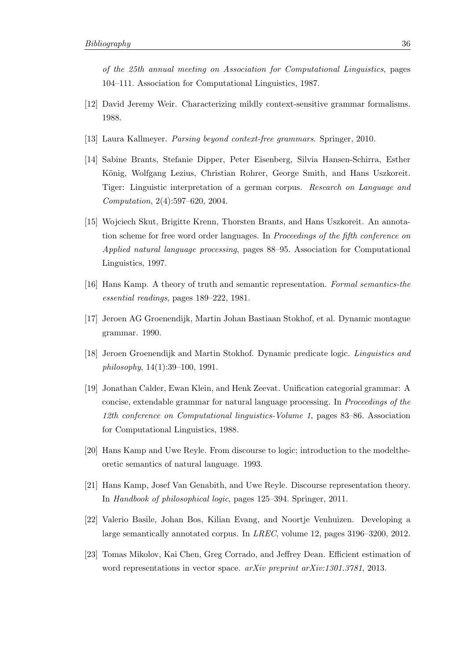of the 25th annual meeting on Association for Computational Linguistics, pages 104–111. Association for Computational Linguistics, 1987.

- <span id="page-40-0"></span>[12] David Jeremy Weir. Characterizing mildly context-sensitive grammar formalisms. 1988.
- <span id="page-40-1"></span>[13] Laura Kallmeyer. Parsing beyond context-free grammars. Springer, 2010.
- <span id="page-40-2"></span>[14] Sabine Brants, Stefanie Dipper, Peter Eisenberg, Silvia Hansen-Schirra, Esther König, Wolfgang Lezius, Christian Rohrer, George Smith, and Hans Uszkoreit. Tiger: Linguistic interpretation of a german corpus. Research on Language and Computation, 2(4):597–620, 2004.
- <span id="page-40-3"></span>[15] Wojciech Skut, Brigitte Krenn, Thorsten Brants, and Hans Uszkoreit. An annotation scheme for free word order languages. In Proceedings of the fifth conference on Applied natural language processing, pages 88–95. Association for Computational Linguistics, 1997.
- <span id="page-40-4"></span>[16] Hans Kamp. A theory of truth and semantic representation. Formal semantics-the essential readings, pages 189–222, 1981.
- <span id="page-40-5"></span>[17] Jeroen AG Groenendijk, Martin Johan Bastiaan Stokhof, et al. Dynamic montague grammar. 1990.
- <span id="page-40-6"></span>[18] Jeroen Groenendijk and Martin Stokhof. Dynamic predicate logic. Linguistics and philosophy, 14(1):39–100, 1991.
- <span id="page-40-7"></span>[19] Jonathan Calder, Ewan Klein, and Henk Zeevat. Unification categorial grammar: A concise, extendable grammar for natural language processing. In Proceedings of the 12th conference on Computational linguistics-Volume 1, pages 83–86. Association for Computational Linguistics, 1988.
- <span id="page-40-8"></span>[20] Hans Kamp and Uwe Reyle. From discourse to logic; introduction to the modeltheoretic semantics of natural language. 1993.
- <span id="page-40-9"></span>[21] Hans Kamp, Josef Van Genabith, and Uwe Reyle. Discourse representation theory. In Handbook of philosophical logic, pages 125–394. Springer, 2011.
- <span id="page-40-10"></span>[22] Valerio Basile, Johan Bos, Kilian Evang, and Noortje Venhuizen. Developing a large semantically annotated corpus. In LREC, volume 12, pages 3196–3200, 2012.
- <span id="page-40-11"></span>[23] Tomas Mikolov, Kai Chen, Greg Corrado, and Jeffrey Dean. Efficient estimation of word representations in vector space. arXiv preprint arXiv:1301.3781, 2013.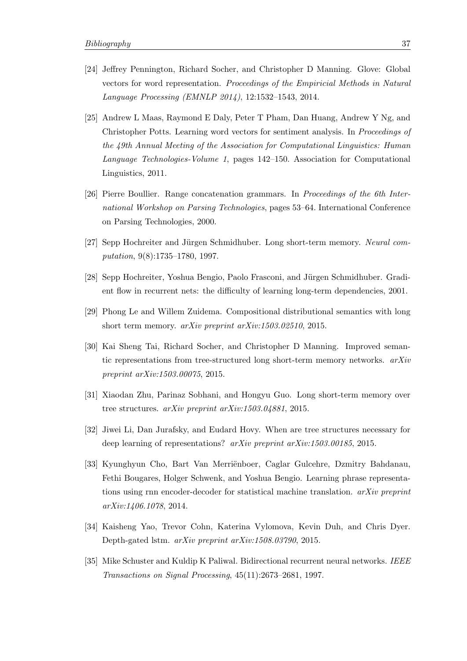- <span id="page-41-0"></span>[24] Jeffrey Pennington, Richard Socher, and Christopher D Manning. Glove: Global vectors for word representation. Proceedings of the Empiricial Methods in Natural Language Processing (EMNLP 2014), 12:1532–1543, 2014.
- <span id="page-41-1"></span>[25] Andrew L Maas, Raymond E Daly, Peter T Pham, Dan Huang, Andrew Y Ng, and Christopher Potts. Learning word vectors for sentiment analysis. In Proceedings of the 49th Annual Meeting of the Association for Computational Linguistics: Human Language Technologies-Volume 1, pages 142–150. Association for Computational Linguistics, 2011.
- <span id="page-41-2"></span>[26] Pierre Boullier. Range concatenation grammars. In Proceedings of the 6th International Workshop on Parsing Technologies, pages 53–64. International Conference on Parsing Technologies, 2000.
- <span id="page-41-3"></span>[27] Sepp Hochreiter and Jürgen Schmidhuber. Long short-term memory. Neural computation, 9(8):1735–1780, 1997.
- <span id="page-41-4"></span>[28] Sepp Hochreiter, Yoshua Bengio, Paolo Frasconi, and Jürgen Schmidhuber. Gradient flow in recurrent nets: the difficulty of learning long-term dependencies, 2001.
- <span id="page-41-5"></span>[29] Phong Le and Willem Zuidema. Compositional distributional semantics with long short term memory. arXiv preprint arXiv:1503.02510, 2015.
- <span id="page-41-6"></span>[30] Kai Sheng Tai, Richard Socher, and Christopher D Manning. Improved semantic representations from tree-structured long short-term memory networks.  $arXiv$ preprint arXiv:1503.00075, 2015.
- <span id="page-41-7"></span>[31] Xiaodan Zhu, Parinaz Sobhani, and Hongyu Guo. Long short-term memory over tree structures. arXiv preprint arXiv:1503.04881, 2015.
- <span id="page-41-8"></span>[32] Jiwei Li, Dan Jurafsky, and Eudard Hovy. When are tree structures necessary for deep learning of representations? arXiv preprint arXiv:1503.00185, 2015.
- <span id="page-41-9"></span>[33] Kyunghyun Cho, Bart Van Merriënboer, Caglar Gulcehre, Dzmitry Bahdanau, Fethi Bougares, Holger Schwenk, and Yoshua Bengio. Learning phrase representations using rnn encoder-decoder for statistical machine translation.  $arXiv$  preprint arXiv:1406.1078, 2014.
- <span id="page-41-10"></span>[34] Kaisheng Yao, Trevor Cohn, Katerina Vylomova, Kevin Duh, and Chris Dyer. Depth-gated lstm. arXiv preprint arXiv:1508.03790, 2015.
- <span id="page-41-11"></span>[35] Mike Schuster and Kuldip K Paliwal. Bidirectional recurrent neural networks. IEEE Transactions on Signal Processing, 45(11):2673–2681, 1997.